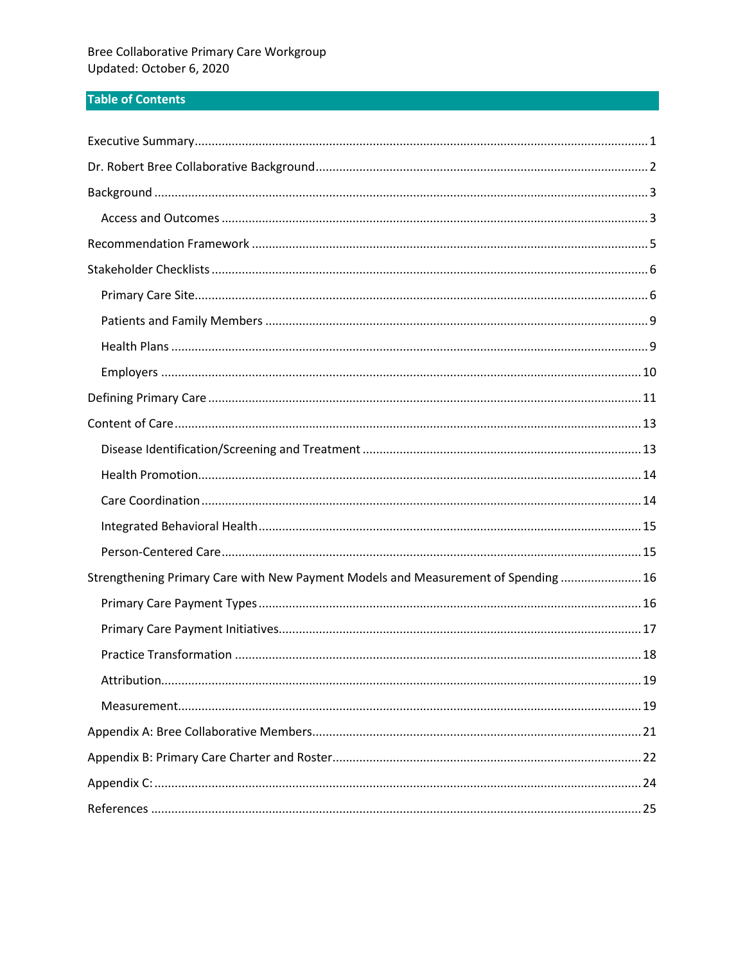# **Table of Contents**

| Strengthening Primary Care with New Payment Models and Measurement of Spending  16 |
|------------------------------------------------------------------------------------|
|                                                                                    |
|                                                                                    |
|                                                                                    |
|                                                                                    |
|                                                                                    |
|                                                                                    |
|                                                                                    |
|                                                                                    |
|                                                                                    |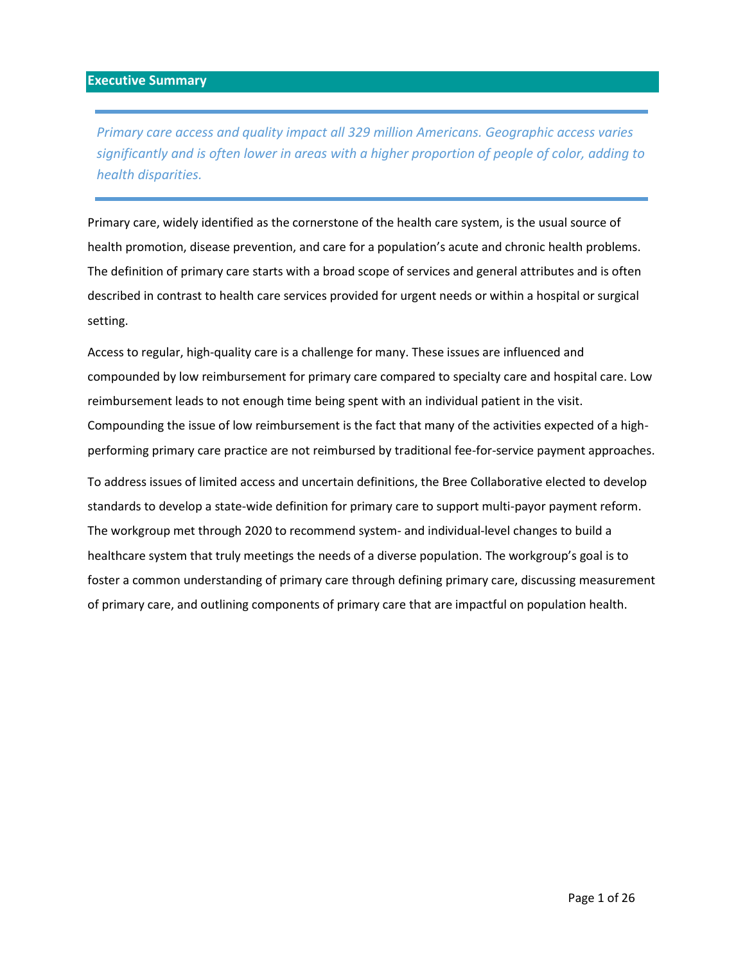<span id="page-1-0"></span>*Primary care access and quality impact all 329 million Americans. Geographic access varies significantly and is often lower in areas with a higher proportion of people of color, adding to health disparities.* 

Primary care, widely identified as the cornerstone of the health care system, is the usual source of health promotion, disease prevention, and care for a population's acute and chronic health problems. The definition of primary care starts with a broad scope of services and general attributes and is often described in contrast to health care services provided for urgent needs or within a hospital or surgical setting.

Access to regular, high-quality care is a challenge for many. These issues are influenced and compounded by low reimbursement for primary care compared to specialty care and hospital care. Low reimbursement leads to not enough time being spent with an individual patient in the visit. Compounding the issue of low reimbursement is the fact that many of the activities expected of a highperforming primary care practice are not reimbursed by traditional fee-for-service payment approaches.

To address issues of limited access and uncertain definitions, the Bree Collaborative elected to develop standards to develop a state-wide definition for primary care to support multi-payor payment reform. The workgroup met through 2020 to recommend system- and individual-level changes to build a healthcare system that truly meetings the needs of a diverse population. The workgroup's goal is to foster a common understanding of primary care through defining primary care, discussing measurement of primary care, and outlining components of primary care that are impactful on population health.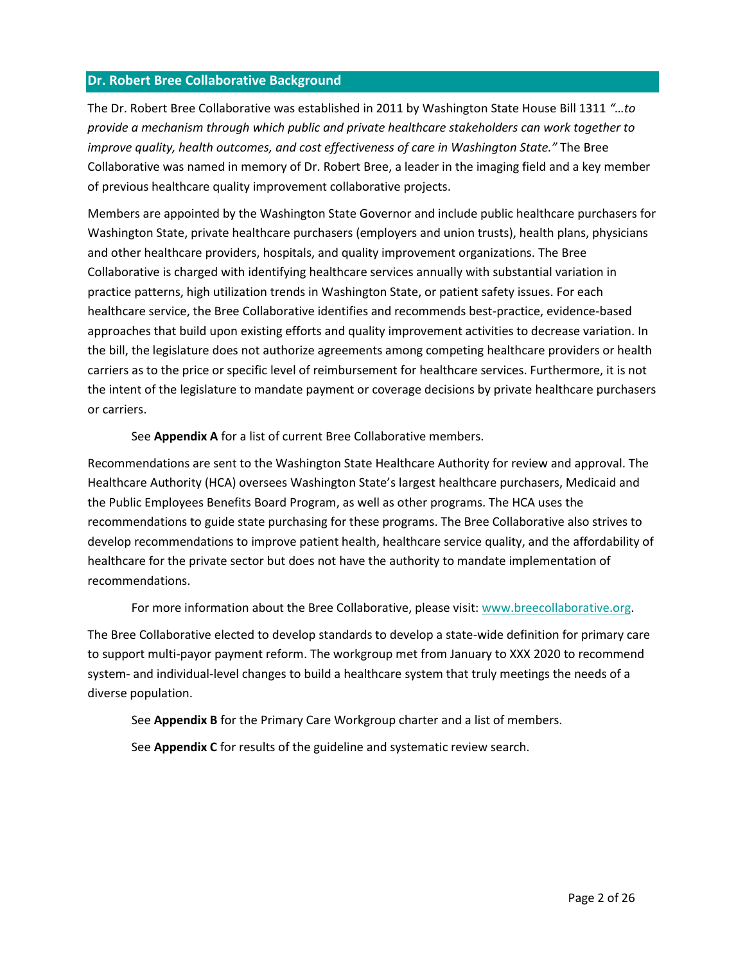## <span id="page-2-0"></span>**Dr. Robert Bree Collaborative Background**

The Dr. Robert Bree Collaborative was established in 2011 by Washington State House Bill 1311 *"…to provide a mechanism through which public and private healthcare stakeholders can work together to improve quality, health outcomes, and cost effectiveness of care in Washington State."* The Bree Collaborative was named in memory of Dr. Robert Bree, a leader in the imaging field and a key member of previous healthcare quality improvement collaborative projects.

Members are appointed by the Washington State Governor and include public healthcare purchasers for Washington State, private healthcare purchasers (employers and union trusts), health plans, physicians and other healthcare providers, hospitals, and quality improvement organizations. The Bree Collaborative is charged with identifying healthcare services annually with substantial variation in practice patterns, high utilization trends in Washington State, or patient safety issues. For each healthcare service, the Bree Collaborative identifies and recommends best-practice, evidence-based approaches that build upon existing efforts and quality improvement activities to decrease variation. In the bill, the legislature does not authorize agreements among competing healthcare providers or health carriers as to the price or specific level of reimbursement for healthcare services. Furthermore, it is not the intent of the legislature to mandate payment or coverage decisions by private healthcare purchasers or carriers.

See **Appendix A** for a list of current Bree Collaborative members.

Recommendations are sent to the Washington State Healthcare Authority for review and approval. The Healthcare Authority (HCA) oversees Washington State's largest healthcare purchasers, Medicaid and the Public Employees Benefits Board Program, as well as other programs. The HCA uses the recommendations to guide state purchasing for these programs. The Bree Collaborative also strives to develop recommendations to improve patient health, healthcare service quality, and the affordability of healthcare for the private sector but does not have the authority to mandate implementation of recommendations.

For more information about the Bree Collaborative, please visit: [www.breecollaborative.org.](http://www.breecollaborative.org/)

The Bree Collaborative elected to develop standards to develop a state-wide definition for primary care to support multi-payor payment reform. The workgroup met from January to XXX 2020 to recommend system- and individual-level changes to build a healthcare system that truly meetings the needs of a diverse population.

See **Appendix B** for the Primary Care Workgroup charter and a list of members.

See **Appendix C** for results of the guideline and systematic review search.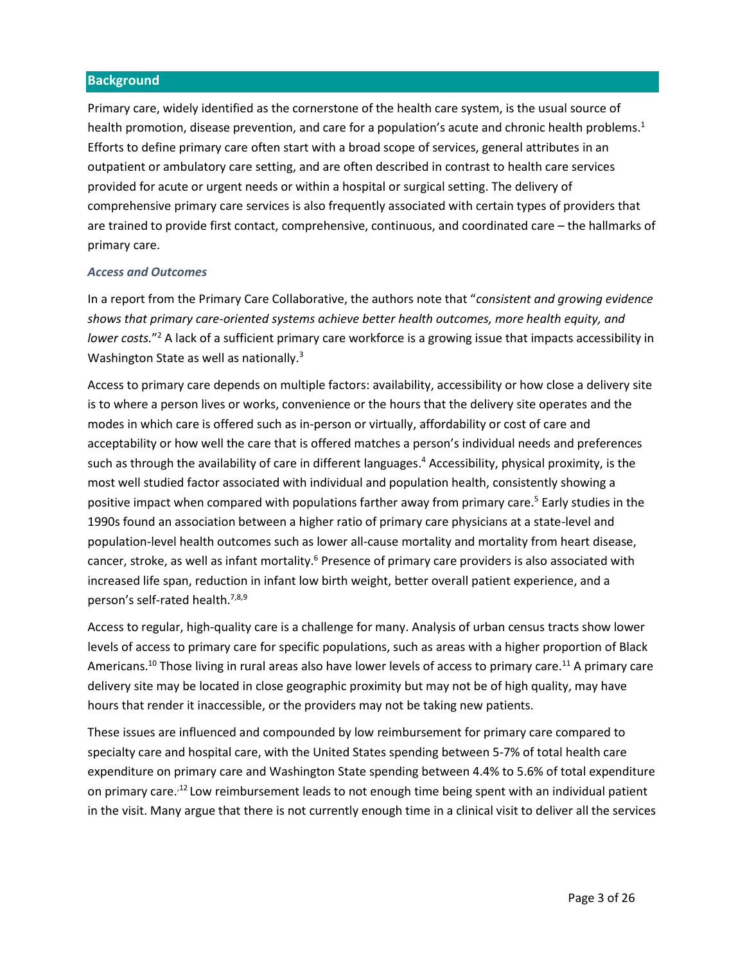#### <span id="page-3-0"></span>**Background**

Primary care, widely identified as the cornerstone of the health care system, is the usual source of health promotion, disease prevention, and care for a population's acute and chronic health problems.<sup>1</sup> Efforts to define primary care often start with a broad scope of services, general attributes in an outpatient or ambulatory care setting, and are often described in contrast to health care services provided for acute or urgent needs or within a hospital or surgical setting. The delivery of comprehensive primary care services is also frequently associated with certain types of providers that are trained to provide first contact, comprehensive, continuous, and coordinated care – the hallmarks of primary care.

#### <span id="page-3-1"></span>*Access and Outcomes*

In a report from the Primary Care Collaborative, the authors note that "*consistent and growing evidence shows that primary care-oriented systems achieve better health outcomes, more health equity, and lower costs.*" <sup>2</sup> A lack of a sufficient primary care workforce is a growing issue that impacts accessibility in Washington State as well as nationally.<sup>3</sup>

Access to primary care depends on multiple factors: availability, accessibility or how close a delivery site is to where a person lives or works, convenience or the hours that the delivery site operates and the modes in which care is offered such as in-person or virtually, affordability or cost of care and acceptability or how well the care that is offered matches a person's individual needs and preferences such as through the availability of care in different languages. <sup>4</sup> Accessibility, physical proximity, is the most well studied factor associated with individual and population health, consistently showing a positive impact when compared with populations farther away from primary care. <sup>5</sup> Early studies in the 1990s found an association between a higher ratio of primary care physicians at a state-level and population-level health outcomes such as lower all-cause mortality and mortality from heart disease, cancer, stroke, as well as infant mortality.<sup>6</sup> Presence of primary care providers is also associated with increased life span, reduction in infant low birth weight, better overall patient experience, and a person's self-rated health.<sup>7,8,9</sup>

Access to regular, high-quality care is a challenge for many. Analysis of urban census tracts show lower levels of access to primary care for specific populations, such as areas with a higher proportion of Black Americans.<sup>10</sup> Those living in rural areas also have lower levels of access to primary care.<sup>11</sup> A primary care delivery site may be located in close geographic proximity but may not be of high quality, may have hours that render it inaccessible, or the providers may not be taking new patients.

<span id="page-3-2"></span>These issues are influenced and compounded by low reimbursement for primary care compared to specialty care and hospital care, with the United States spending between 5-7% of total health care expenditure on primary care and Washington State spending between 4.4% to 5.6% of total expenditure on primary care.<sup>,12</sup> Low reimbursement leads to not enough time being spent with an individual patient in the visit. Many argue that there is not currently enough time in a clinical visit to deliver all the services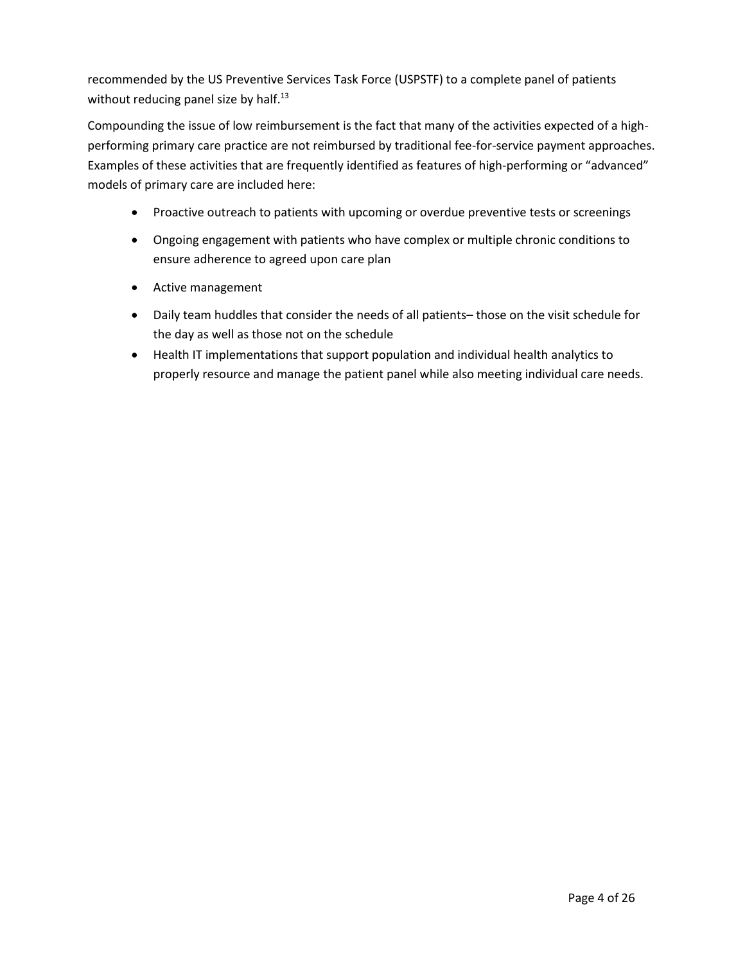recommended by the US Preventive Services Task Force (USPSTF) to a complete panel of patients without reducing panel size by half.<sup>13</sup>

Compounding the issue of low reimbursement is the fact that many of the activities expected of a highperforming primary care practice are not reimbursed by traditional fee-for-service payment approaches. Examples of these activities that are frequently identified as features of high-performing or "advanced" models of primary care are included here:

- Proactive outreach to patients with upcoming or overdue preventive tests or screenings
- Ongoing engagement with patients who have complex or multiple chronic conditions to ensure adherence to agreed upon care plan
- $\bullet$  Active management
- Daily team huddles that consider the needs of all patients– those on the visit schedule for the day as well as those not on the schedule
- Health IT implementations that support population and individual health analytics to properly resource and manage the patient panel while also meeting individual care needs.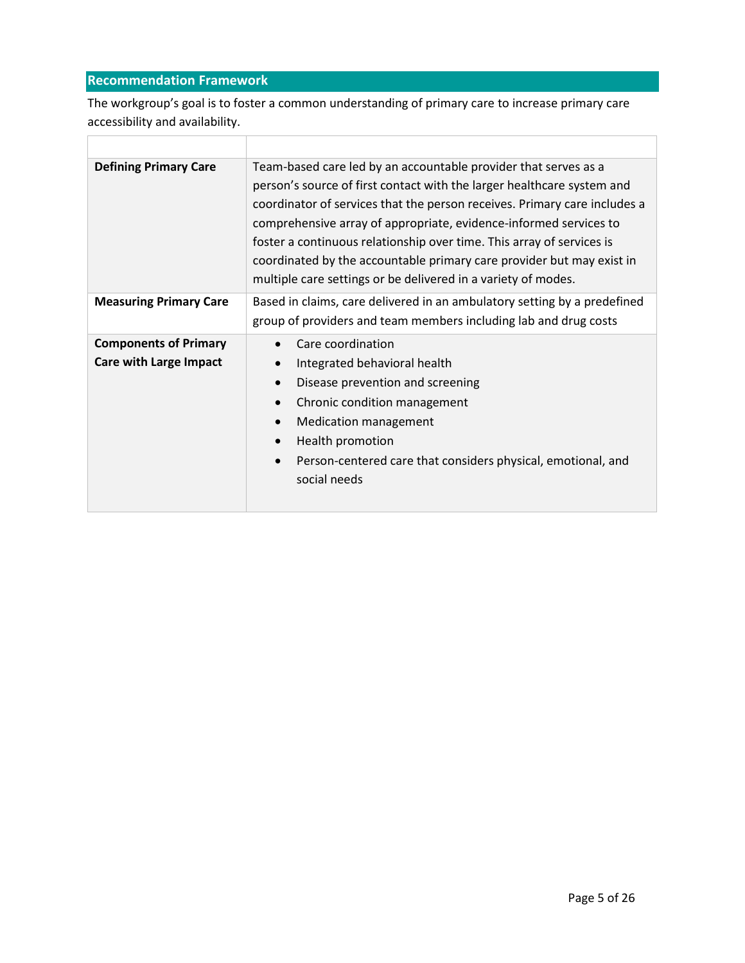# <span id="page-5-0"></span>**Recommendation Framework**

т

Г

The workgroup's goal is to foster a common understanding of primary care to increase primary care accessibility and availability.

| <b>Defining Primary Care</b>                                  | Team-based care led by an accountable provider that serves as a<br>person's source of first contact with the larger healthcare system and<br>coordinator of services that the person receives. Primary care includes a<br>comprehensive array of appropriate, evidence-informed services to<br>foster a continuous relationship over time. This array of services is<br>coordinated by the accountable primary care provider but may exist in<br>multiple care settings or be delivered in a variety of modes. |  |
|---------------------------------------------------------------|----------------------------------------------------------------------------------------------------------------------------------------------------------------------------------------------------------------------------------------------------------------------------------------------------------------------------------------------------------------------------------------------------------------------------------------------------------------------------------------------------------------|--|
| <b>Measuring Primary Care</b>                                 | Based in claims, care delivered in an ambulatory setting by a predefined<br>group of providers and team members including lab and drug costs                                                                                                                                                                                                                                                                                                                                                                   |  |
| <b>Components of Primary</b><br><b>Care with Large Impact</b> | Care coordination<br>Integrated behavioral health<br>Disease prevention and screening<br>Chronic condition management<br><b>Medication management</b><br>Health promotion<br>Person-centered care that considers physical, emotional, and<br>social needs                                                                                                                                                                                                                                                      |  |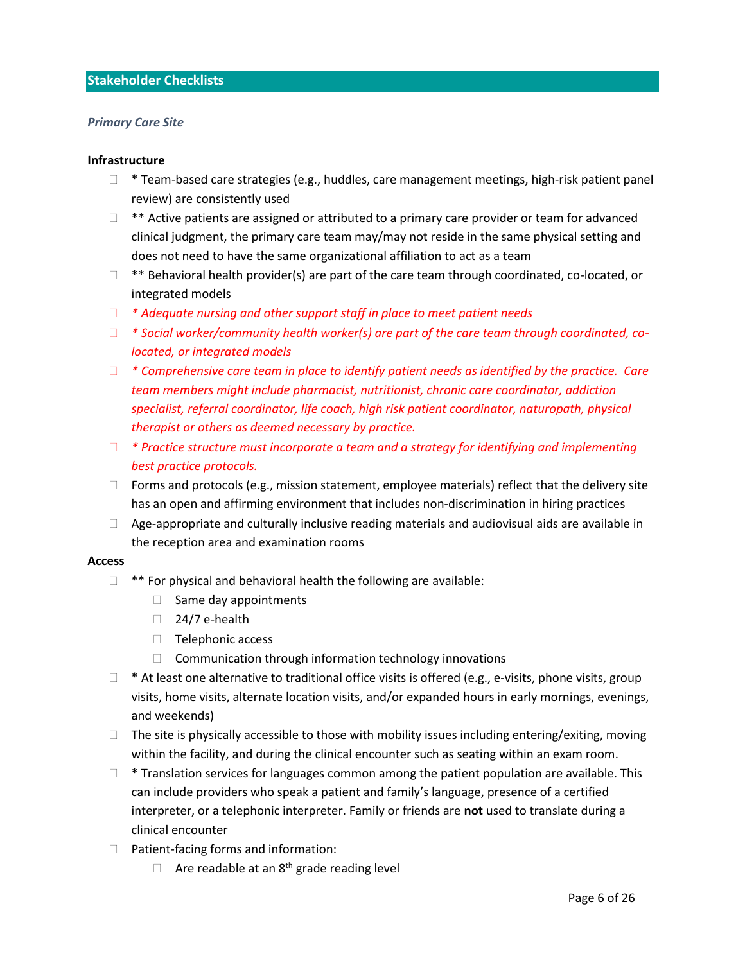## <span id="page-6-0"></span>**Stakeholder Checklists**

#### <span id="page-6-1"></span>*Primary Care Site*

#### **Infrastructure**

- $\Box$  \* Team-based care strategies (e.g., huddles, care management meetings, high-risk patient panel review) are consistently used
- $\Box$  \*\* Active patients are assigned or attributed to a primary care provider or team for advanced clinical judgment, the primary care team may/may not reside in the same physical setting and does not need to have the same organizational affiliation to act as a team
- $\Box$  \*\* Behavioral health provider(s) are part of the care team through coordinated, co-located, or integrated models
- *\* Adequate nursing and other support staff in place to meet patient needs*
- *\* Social worker/community health worker(s) are part of the care team through coordinated, colocated, or integrated models*
- *\* Comprehensive care team in place to identify patient needs as identified by the practice. Care team members might include pharmacist, nutritionist, chronic care coordinator, addiction specialist, referral coordinator, life coach, high risk patient coordinator, naturopath, physical therapist or others as deemed necessary by practice.*
- *\* Practice structure must incorporate a team and a strategy for identifying and implementing best practice protocols.*
- $\Box$  Forms and protocols (e.g., mission statement, employee materials) reflect that the delivery site has an open and affirming environment that includes non-discrimination in hiring practices
- $\Box$  Age-appropriate and culturally inclusive reading materials and audiovisual aids are available in the reception area and examination rooms

#### **Access**

- $\Box$  \*\* For physical and behavioral health the following are available:
	- $\Box$  Same day appointments
	- $\Box$  24/7 e-health
	- $\Box$  Telephonic access
	- $\Box$  Communication through information technology innovations
- $\Box$  \* At least one alternative to traditional office visits is offered (e.g., e-visits, phone visits, group visits, home visits, alternate location visits, and/or expanded hours in early mornings, evenings, and weekends)
- $\Box$  The site is physically accessible to those with mobility issues including entering/exiting, moving within the facility, and during the clinical encounter such as seating within an exam room.
- $\Box$  \* Translation services for languages common among the patient population are available. This can include providers who speak a patient and family's language, presence of a certified interpreter, or a telephonic interpreter. Family or friends are **not** used to translate during a clinical encounter
- $\Box$  Patient-facing forms and information:
	- $\Box$  Are readable at an 8<sup>th</sup> grade reading level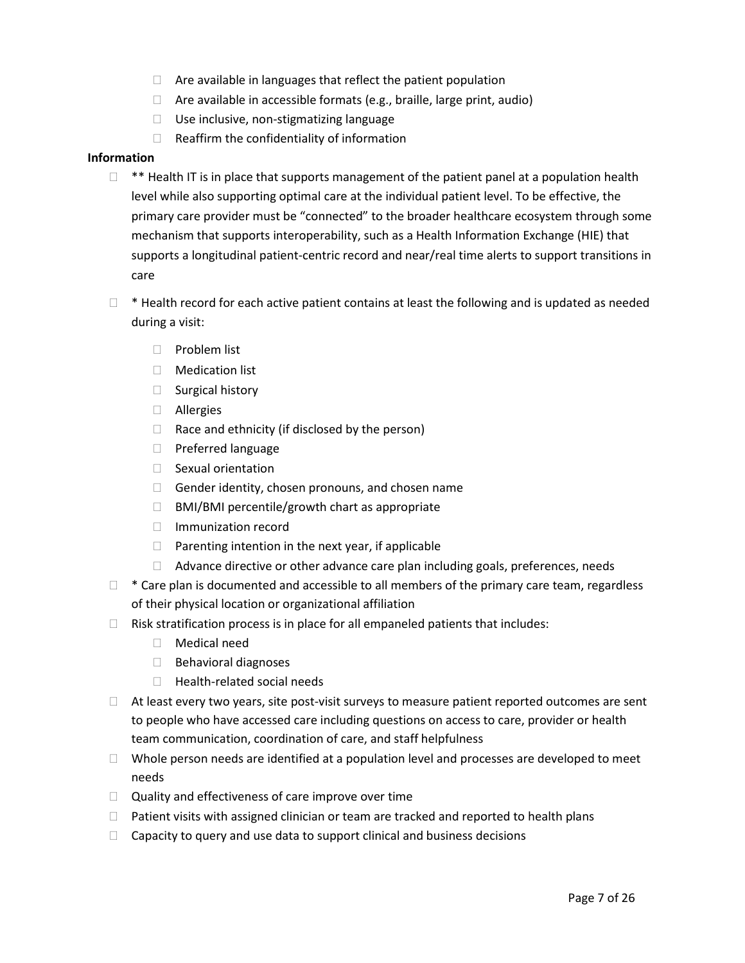- $\Box$  Are available in languages that reflect the patient population
- $\Box$  Are available in accessible formats (e.g., braille, large print, audio)
- Use inclusive, non-stigmatizing language
- $\Box$  Reaffirm the confidentiality of information

#### **Information**

- $\Box$  \*\* Health IT is in place that supports management of the patient panel at a population health level while also supporting optimal care at the individual patient level. To be effective, the primary care provider must be "connected" to the broader healthcare ecosystem through some mechanism that supports interoperability, such as a Health Information Exchange (HIE) that supports a longitudinal patient-centric record and near/real time alerts to support transitions in care
- $\Box$  \* Health record for each active patient contains at least the following and is updated as needed during a visit:
	- $\Box$  Problem list
	- Medication list
	- $\Box$  Surgical history
	- Allergies
	- $\Box$  Race and ethnicity (if disclosed by the person)
	- **Preferred language**
	- $\Box$  Sexual orientation
	- $\Box$  Gender identity, chosen pronouns, and chosen name
	- $\Box$  BMI/BMI percentile/growth chart as appropriate
	- □ Immunization record
	- $\Box$  Parenting intention in the next year, if applicable
	- □ Advance directive or other advance care plan including goals, preferences, needs
- $\Box$  \* Care plan is documented and accessible to all members of the primary care team, regardless of their physical location or organizational affiliation
- $\Box$  Risk stratification process is in place for all empaneled patients that includes:
	- Medical need
	- $\Box$  Behavioral diagnoses
	- $\Box$  Health-related social needs
- $\Box$  At least every two years, site post-visit surveys to measure patient reported outcomes are sent to people who have accessed care including questions on access to care, provider or health team communication, coordination of care, and staff helpfulness
- $\Box$  Whole person needs are identified at a population level and processes are developed to meet needs
- $\Box$  Quality and effectiveness of care improve over time
- $\Box$  Patient visits with assigned clinician or team are tracked and reported to health plans
- $\Box$  Capacity to query and use data to support clinical and business decisions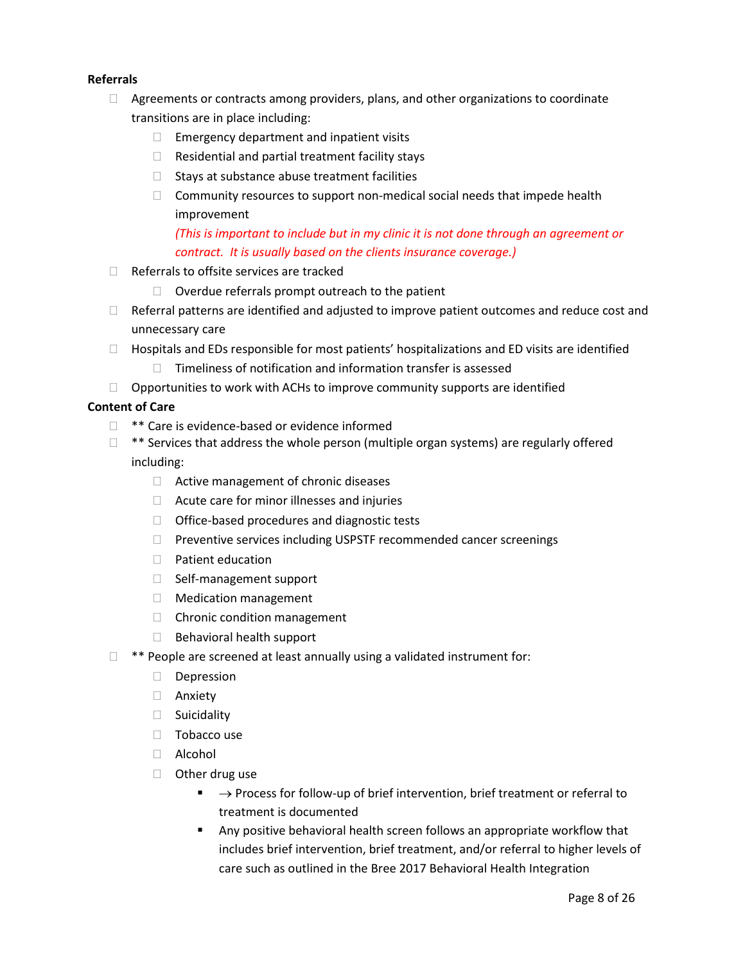# **Referrals**

- $\Box$  Agreements or contracts among providers, plans, and other organizations to coordinate transitions are in place including:
	- $\Box$  Emergency department and inpatient visits
	- $\Box$  Residential and partial treatment facility stays
	- $\Box$  Stays at substance abuse treatment facilities
	- $\Box$  Community resources to support non-medical social needs that impede health improvement

*(This is important to include but in my clinic it is not done through an agreement or contract. It is usually based on the clients insurance coverage.)*

- $\Box$  Referrals to offsite services are tracked
	- $\Box$  Overdue referrals prompt outreach to the patient
- $\Box$  Referral patterns are identified and adjusted to improve patient outcomes and reduce cost and unnecessary care
- $\Box$  Hospitals and EDs responsible for most patients' hospitalizations and ED visits are identified
	- $\Box$  Timeliness of notification and information transfer is assessed
- $\Box$  Opportunities to work with ACHs to improve community supports are identified

## **Content of Care**

- $\Box$  \*\* Care is evidence-based or evidence informed
- $\Box$  \*\* Services that address the whole person (multiple organ systems) are regularly offered including:
	- □ Active management of chronic diseases
	- $\Box$  Acute care for minor illnesses and injuries
	- $\Box$  Office-based procedures and diagnostic tests
	- $\Box$  Preventive services including USPSTF recommended cancer screenings
	- D Patient education
	- □ Self-management support
	- □ Medication management
	- □ Chronic condition management
	- $\Box$  Behavioral health support
- $\Box$  \*\* People are screened at least annually using a validated instrument for:
	- Depression
	- Anxiety
	- □ Suicidality
	- $\Box$  Tobacco use
	- Alcohol
	- □ Other drug use
		- $\blacksquare$   $\rightarrow$  Process for follow-up of brief intervention, brief treatment or referral to treatment is documented
		- Any positive behavioral health screen follows an appropriate workflow that includes brief intervention, brief treatment, and/or referral to higher levels of care such as outlined in the Bree 2017 Behavioral Health Integration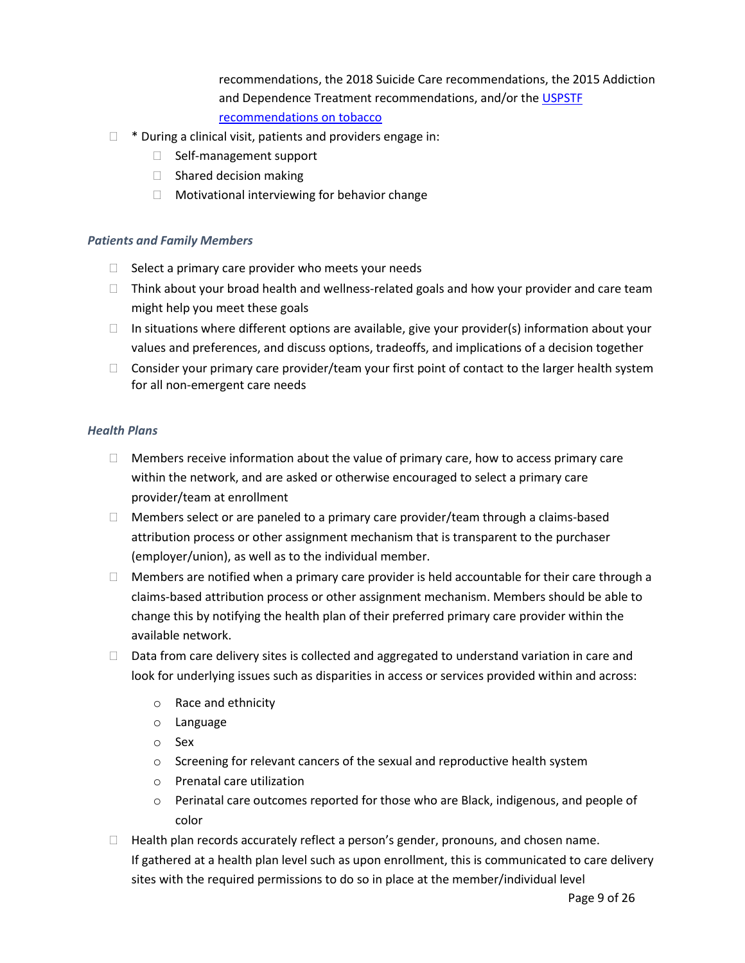recommendations, the 2018 Suicide Care recommendations, the 2015 Addiction and Dependence Treatment recommendations, and/or the USPSTF [recommendations on tobacco](https://www.uspreventiveservicestaskforce.org/uspstf/recommendation/tobacco-use-in-adults-and-pregnant-women-counseling-and-interventions)

- $\Box$  \* During a clinical visit, patients and providers engage in:
	- $\Box$  Self-management support
	- $\Box$  Shared decision making
	- $\Box$  Motivational interviewing for behavior change

## <span id="page-9-0"></span>*Patients and Family Members*

- $\Box$  Select a primary care provider who meets your needs
- $\Box$  Think about your broad health and wellness-related goals and how your provider and care team might help you meet these goals
- $\Box$  In situations where different options are available, give your provider(s) information about your values and preferences, and discuss options, tradeoffs, and implications of a decision together
- $\Box$  Consider your primary care provider/team your first point of contact to the larger health system for all non-emergent care needs

#### <span id="page-9-1"></span>*Health Plans*

- $\Box$  Members receive information about the value of primary care, how to access primary care within the network, and are asked or otherwise encouraged to select a primary care provider/team at enrollment
- $\Box$  Members select or are paneled to a primary care provider/team through a claims-based attribution process or other assignment mechanism that is transparent to the purchaser (employer/union), as well as to the individual member.
- $\Box$  Members are notified when a primary care provider is held accountable for their care through a claims-based attribution process or other assignment mechanism. Members should be able to change this by notifying the health plan of their preferred primary care provider within the available network.
- $\Box$  Data from care delivery sites is collected and aggregated to understand variation in care and look for underlying issues such as disparities in access or services provided within and across:
	- o Race and ethnicity
	- o Language
	- o Sex
	- o Screening for relevant cancers of the sexual and reproductive health system
	- o Prenatal care utilization
	- o Perinatal care outcomes reported for those who are Black, indigenous, and people of color
- $\Box$  Health plan records accurately reflect a person's gender, pronouns, and chosen name. If gathered at a health plan level such as upon enrollment, this is communicated to care delivery sites with the required permissions to do so in place at the member/individual level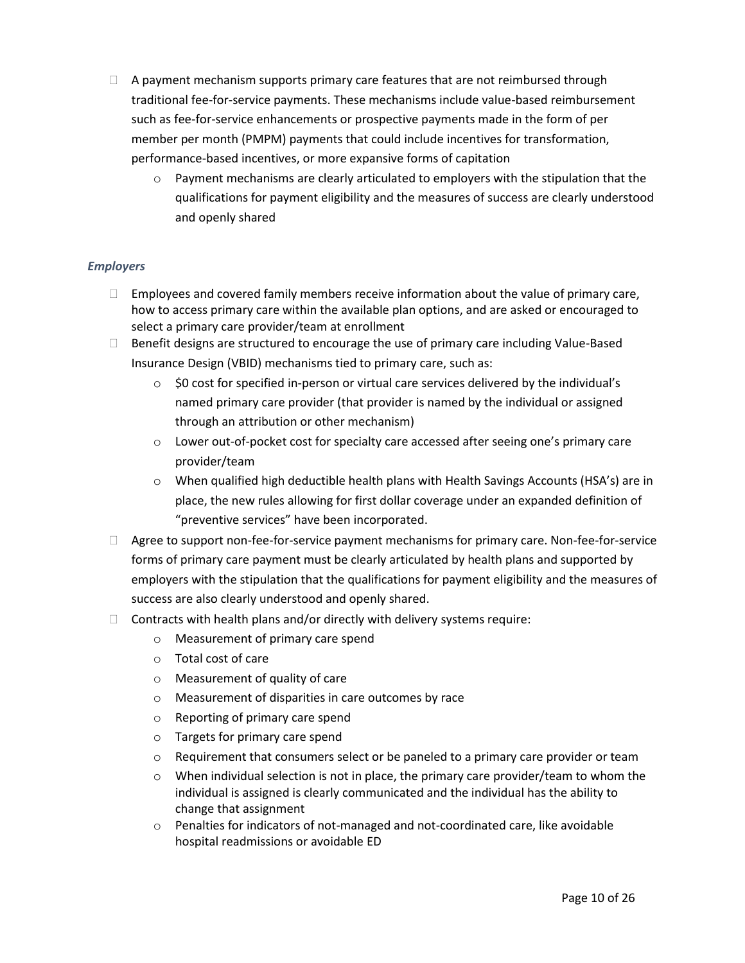- $\Box$  A payment mechanism supports primary care features that are not reimbursed through traditional fee-for-service payments. These mechanisms include value-based reimbursement such as fee-for-service enhancements or prospective payments made in the form of per member per month (PMPM) payments that could include incentives for transformation, performance-based incentives, or more expansive forms of capitation
	- $\circ$  Payment mechanisms are clearly articulated to employers with the stipulation that the qualifications for payment eligibility and the measures of success are clearly understood and openly shared

## <span id="page-10-0"></span>*Employers*

- $\Box$  Employees and covered family members receive information about the value of primary care, how to access primary care within the available plan options, and are asked or encouraged to select a primary care provider/team at enrollment
- $\Box$  Benefit designs are structured to encourage the use of primary care including Value-Based Insurance Design (VBID) mechanisms tied to primary care, such as:
	- $\circ$  \$0 cost for specified in-person or virtual care services delivered by the individual's named primary care provider (that provider is named by the individual or assigned through an attribution or other mechanism)
	- o Lower out-of-pocket cost for specialty care accessed after seeing one's primary care provider/team
	- o When qualified high deductible health plans with Health Savings Accounts (HSA's) are in place, the new rules allowing for first dollar coverage under an expanded definition of "preventive services" have been incorporated.
- $\Box$  Agree to support non-fee-for-service payment mechanisms for primary care. Non-fee-for-service forms of primary care payment must be clearly articulated by health plans and supported by employers with the stipulation that the qualifications for payment eligibility and the measures of success are also clearly understood and openly shared.
- $\Box$  Contracts with health plans and/or directly with delivery systems require:
	- o Measurement of primary care spend
	- o Total cost of care
	- o Measurement of quality of care
	- o Measurement of disparities in care outcomes by race
	- o Reporting of primary care spend
	- o Targets for primary care spend
	- $\circ$  Requirement that consumers select or be paneled to a primary care provider or team
	- $\circ$  When individual selection is not in place, the primary care provider/team to whom the individual is assigned is clearly communicated and the individual has the ability to change that assignment
	- $\circ$  Penalties for indicators of not-managed and not-coordinated care, like avoidable hospital readmissions or avoidable ED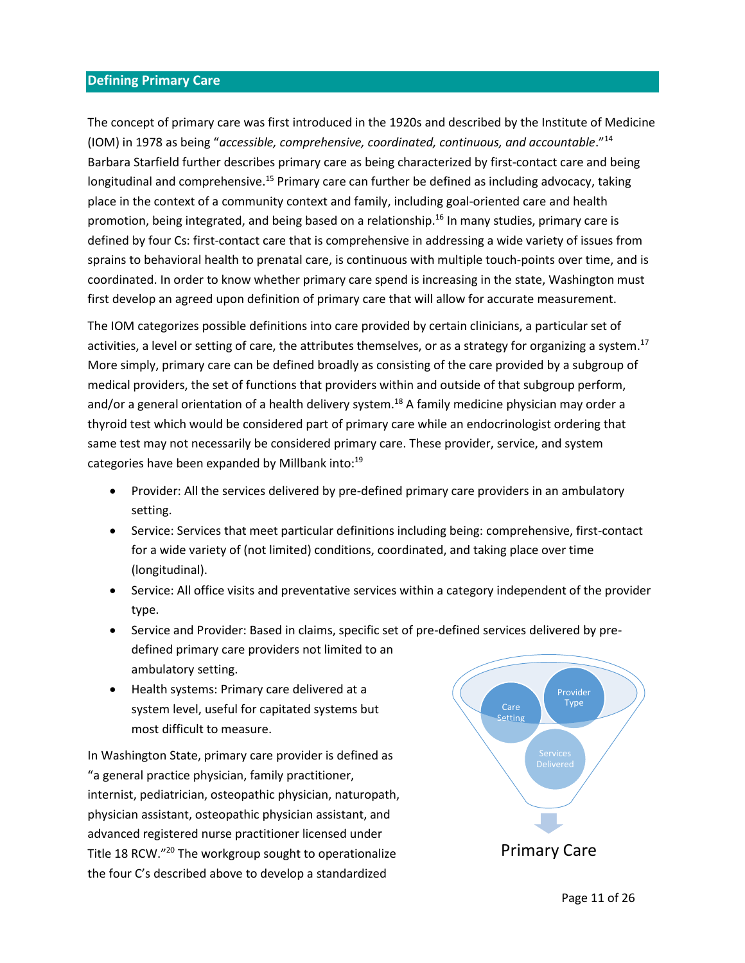# <span id="page-11-0"></span>**Defining Primary Care**

The concept of primary care was first introduced in the 1920s and described by the Institute of Medicine (IOM) in 1978 as being "*accessible, comprehensive, coordinated, continuous, and accountable*."<sup>14</sup> Barbara Starfield further describes primary care as being characterized by first-contact care and being longitudinal and comprehensive.<sup>15</sup> Primary care can further be defined as including advocacy, taking place in the context of a community context and family, including goal-oriented care and health promotion, being integrated, and being based on a relationship. <sup>16</sup> In many studies, primary care is defined by four Cs: first-contact care that is comprehensive in addressing a wide variety of issues from sprains to behavioral health to prenatal care, is continuous with multiple touch-points over time, and is coordinated. In order to know whether primary care spend is increasing in the state, Washington must first develop an agreed upon definition of primary care that will allow for accurate measurement.

The IOM categorizes possible definitions into care provided by certain clinicians, a particular set of activities, a level or setting of care, the attributes themselves, or as a strategy for organizing a system.<sup>17</sup> More simply, primary care can be defined broadly as consisting of the care provided by a subgroup of medical providers, the set of functions that providers within and outside of that subgroup perform, and/or a general orientation of a health delivery system.<sup>18</sup> A family medicine physician may order a thyroid test which would be considered part of primary care while an endocrinologist ordering that same test may not necessarily be considered primary care. These provider, service, and system categories have been expanded by Millbank into:<sup>19</sup>

- Provider: All the services delivered by pre-defined primary care providers in an ambulatory setting.
- Service: Services that meet particular definitions including being: comprehensive, first-contact for a wide variety of (not limited) conditions, coordinated, and taking place over time (longitudinal).
- Service: All office visits and preventative services within a category independent of the provider type.
- Service and Provider: Based in claims, specific set of pre-defined services delivered by predefined primary care providers not limited to an ambulatory setting.
- Health systems: Primary care delivered at a system level, useful for capitated systems but most difficult to measure.

In Washington State, primary care provider is defined as "a general practice physician, family practitioner, internist, pediatrician, osteopathic physician, naturopath, physician assistant, osteopathic physician assistant, and advanced registered nurse practitioner licensed under Title 18 RCW." <sup>20</sup> The workgroup sought to operationalize the four C's described above to develop a standardized

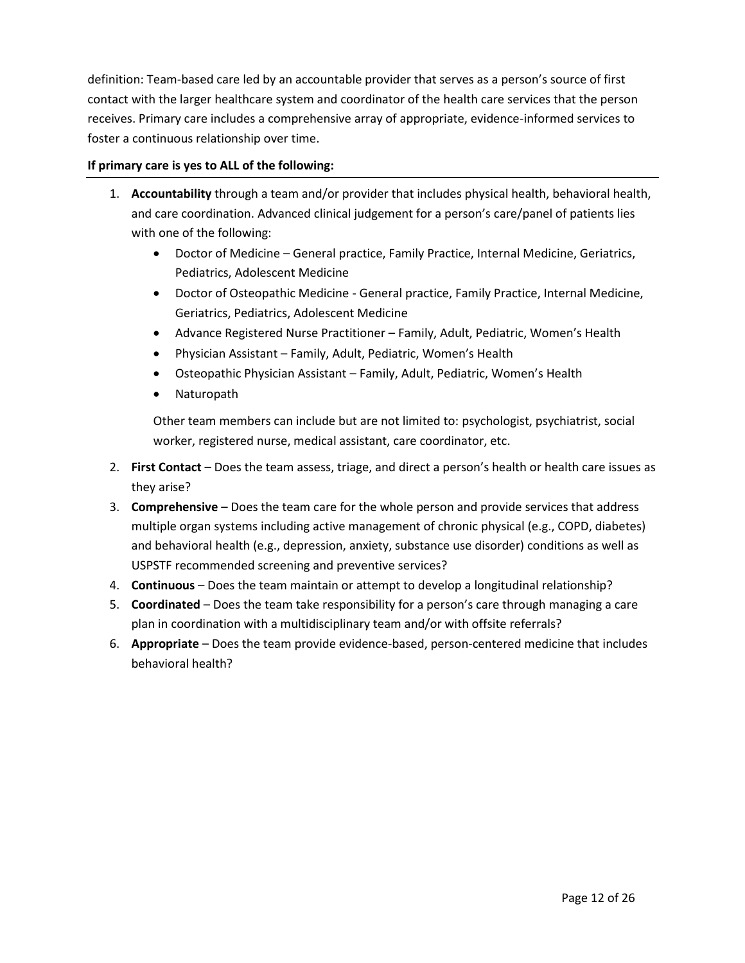definition: Team-based care led by an accountable provider that serves as a person's source of first contact with the larger healthcare system and coordinator of the health care services that the person receives. Primary care includes a comprehensive array of appropriate, evidence-informed services to foster a continuous relationship over time.

## **If primary care is yes to ALL of the following:**

- 1. **Accountability** through a team and/or provider that includes physical health, behavioral health, and care coordination. Advanced clinical judgement for a person's care/panel of patients lies with one of the following:
	- Doctor of Medicine General practice, Family Practice, Internal Medicine, Geriatrics, Pediatrics, Adolescent Medicine
	- Doctor of Osteopathic Medicine General practice, Family Practice, Internal Medicine, Geriatrics, Pediatrics, Adolescent Medicine
	- Advance Registered Nurse Practitioner Family, Adult, Pediatric, Women's Health
	- Physician Assistant Family, Adult, Pediatric, Women's Health
	- Osteopathic Physician Assistant Family, Adult, Pediatric, Women's Health
	- Naturopath

Other team members can include but are not limited to: psychologist, psychiatrist, social worker, registered nurse, medical assistant, care coordinator, etc.

- 2. **First Contact** Does the team assess, triage, and direct a person's health or health care issues as they arise?
- 3. **Comprehensive** Does the team care for the whole person and provide services that address multiple organ systems including active management of chronic physical (e.g., COPD, diabetes) and behavioral health (e.g., depression, anxiety, substance use disorder) conditions as well as USPSTF recommended screening and preventive services?
- 4. **Continuous** Does the team maintain or attempt to develop a longitudinal relationship?
- 5. **Coordinated** Does the team take responsibility for a person's care through managing a care plan in coordination with a multidisciplinary team and/or with offsite referrals?
- 6. **Appropriate** Does the team provide evidence-based, person-centered medicine that includes behavioral health?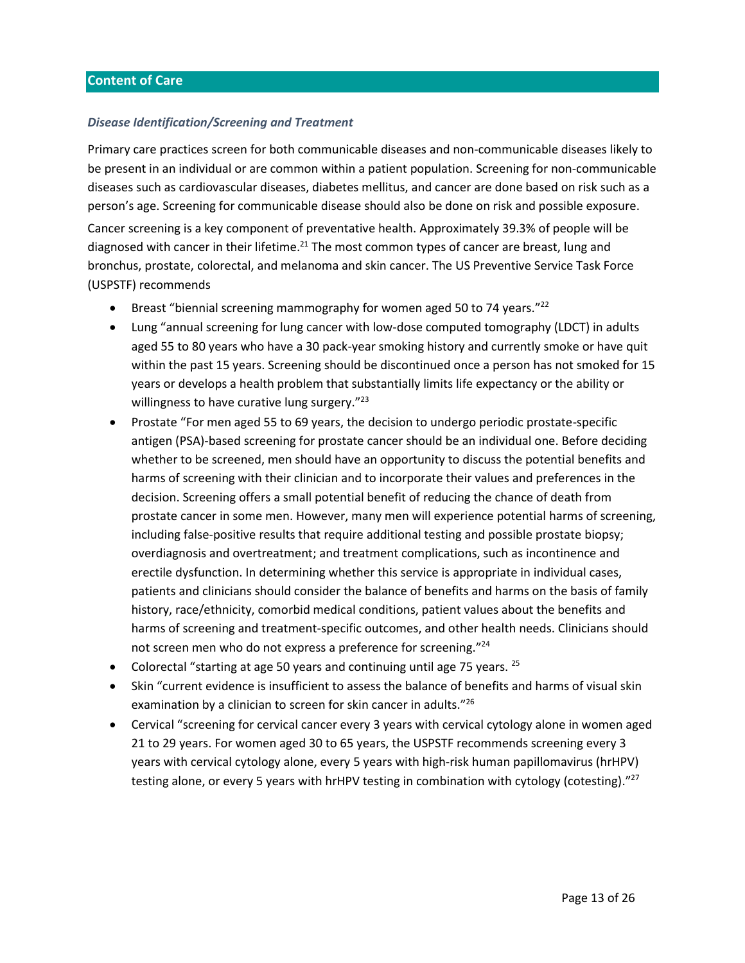#### <span id="page-13-1"></span><span id="page-13-0"></span>*Disease Identification/Screening and Treatment*

Primary care practices screen for both communicable diseases and non-communicable diseases likely to be present in an individual or are common within a patient population. Screening for non-communicable diseases such as cardiovascular diseases, diabetes mellitus, and cancer are done based on risk such as a person's age. Screening for communicable disease should also be done on risk and possible exposure. Cancer screening is a key component of preventative health. Approximately 39.3% of people will be diagnosed with cancer in their lifetime.<sup>21</sup> The most common types of cancer are breast, lung and bronchus, prostate, colorectal, and melanoma and skin cancer. The US Preventive Service Task Force (USPSTF) recommends

- **•** Breast "biennial screening mammography for women aged 50 to 74 years."<sup>22</sup>
- Lung "annual screening for lung cancer with low-dose computed tomography (LDCT) in adults aged 55 to 80 years who have a 30 pack-year smoking history and currently smoke or have quit within the past 15 years. Screening should be discontinued once a person has not smoked for 15 years or develops a health problem that substantially limits life expectancy or the ability or willingness to have curative lung surgery."<sup>23</sup>
- Prostate "For men aged 55 to 69 years, the decision to undergo periodic prostate-specific antigen (PSA)-based screening for prostate cancer should be an individual one. Before deciding whether to be screened, men should have an opportunity to discuss the potential benefits and harms of screening with their clinician and to incorporate their values and preferences in the decision. Screening offers a small potential benefit of reducing the chance of death from prostate cancer in some men. However, many men will experience potential harms of screening, including false-positive results that require additional testing and possible prostate biopsy; overdiagnosis and overtreatment; and treatment complications, such as incontinence and erectile dysfunction. In determining whether this service is appropriate in individual cases, patients and clinicians should consider the balance of benefits and harms on the basis of family history, race/ethnicity, comorbid medical conditions, patient values about the benefits and harms of screening and treatment-specific outcomes, and other health needs. Clinicians should not screen men who do not express a preference for screening."<sup>24</sup>
- Colorectal "starting at age 50 years and continuing until age 75 years.  $^{25}$
- Skin "current evidence is insufficient to assess the balance of benefits and harms of visual skin examination by a clinician to screen for skin cancer in adults."<sup>26</sup>
- Cervical "screening for cervical cancer every 3 years with cervical cytology alone in women aged 21 to 29 years. For women aged 30 to 65 years, the USPSTF recommends screening every 3 years with cervical cytology alone, every 5 years with high-risk human papillomavirus (hrHPV) testing alone, or every 5 years with hrHPV testing in combination with cytology (cotesting)."<sup>27</sup>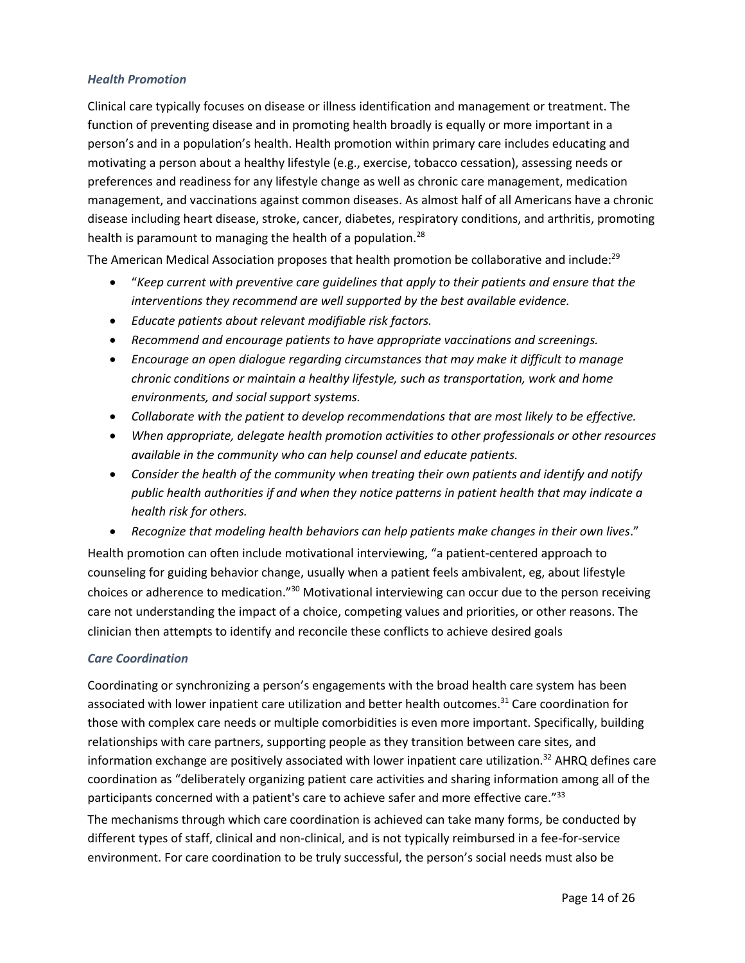#### <span id="page-14-0"></span>*Health Promotion*

Clinical care typically focuses on disease or illness identification and management or treatment. The function of preventing disease and in promoting health broadly is equally or more important in a person's and in a population's health. Health promotion within primary care includes educating and motivating a person about a healthy lifestyle (e.g., exercise, tobacco cessation), assessing needs or preferences and readiness for any lifestyle change as well as chronic care management, medication management, and vaccinations against common diseases. As almost half of all Americans have a chronic disease including heart disease, stroke, cancer, diabetes, respiratory conditions, and arthritis, promoting health is paramount to managing the health of a population.<sup>28</sup>

The American Medical Association proposes that health promotion be collaborative and include:<sup>29</sup>

- "*Keep current with preventive care guidelines that apply to their patients and ensure that the interventions they recommend are well supported by the best available evidence.*
- *Educate patients about relevant modifiable risk factors.*
- *Recommend and encourage patients to have appropriate vaccinations and screenings.*
- *Encourage an open dialogue regarding circumstances that may make it difficult to manage chronic conditions or maintain a healthy lifestyle, such as transportation, work and home environments, and social support systems.*
- *Collaborate with the patient to develop recommendations that are most likely to be effective.*
- *When appropriate, delegate health promotion activities to other professionals or other resources available in the community who can help counsel and educate patients.*
- *Consider the health of the community when treating their own patients and identify and notify public health authorities if and when they notice patterns in patient health that may indicate a health risk for others.*
- *Recognize that modeling health behaviors can help patients make changes in their own lives*."

Health promotion can often include motivational interviewing, "a patient-centered approach to counseling for guiding behavior change, usually when a patient feels ambivalent, eg, about lifestyle choices or adherence to medication."<sup>30</sup> Motivational interviewing can occur due to the person receiving care not understanding the impact of a choice, competing values and priorities, or other reasons. The clinician then attempts to identify and reconcile these conflicts to achieve desired goals

## <span id="page-14-1"></span>*Care Coordination*

Coordinating or synchronizing a person's engagements with the broad health care system has been associated with lower inpatient care utilization and better health outcomes.<sup>31</sup> Care coordination for those with complex care needs or multiple comorbidities is even more important. Specifically, building relationships with care partners, supporting people as they transition between care sites, and information exchange are positively associated with lower inpatient care utilization.<sup>32</sup> AHRQ defines care coordination as "deliberately organizing patient care activities and sharing information among all of the participants concerned with a patient's care to achieve safer and more effective care."<sup>33</sup>

The mechanisms through which care coordination is achieved can take many forms, be conducted by different types of staff, clinical and non-clinical, and is not typically reimbursed in a fee-for-service environment. For care coordination to be truly successful, the person's social needs must also be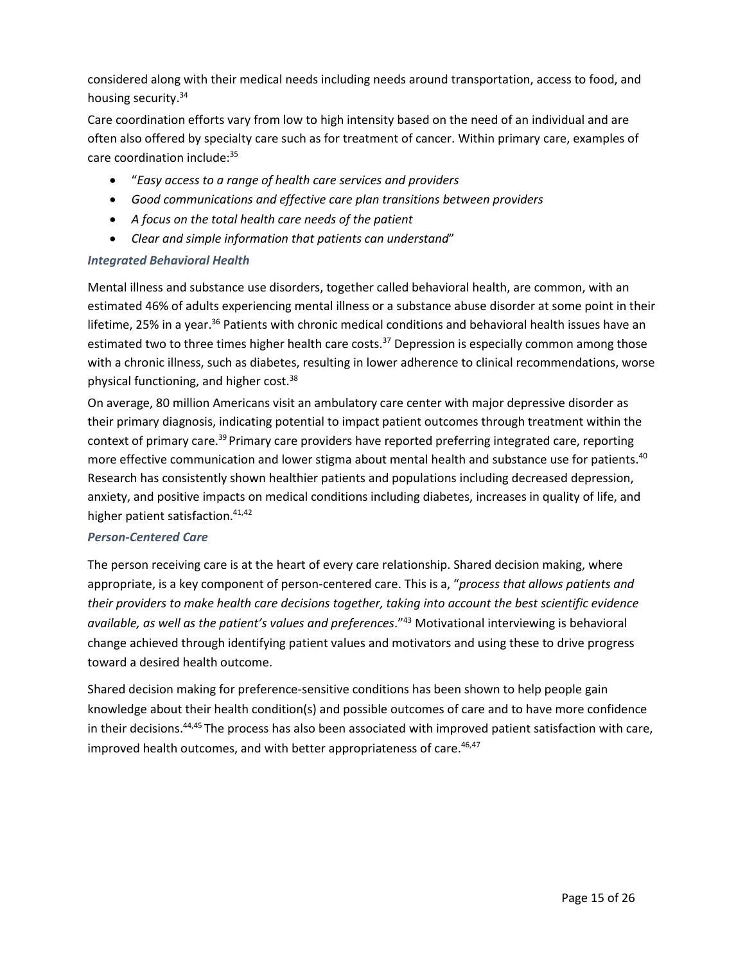considered along with their medical needs including needs around transportation, access to food, and housing security.<sup>34</sup>

Care coordination efforts vary from low to high intensity based on the need of an individual and are often also offered by specialty care such as for treatment of cancer. Within primary care, examples of care coordination include:<sup>35</sup>

- "*Easy access to a range of health care services and providers*
- *Good communications and effective care plan transitions between providers*
- *A focus on the total health care needs of the patient*
- *Clear and simple information that patients can understand*"

## <span id="page-15-0"></span>*Integrated Behavioral Health*

Mental illness and substance use disorders, together called behavioral health, are common, with an estimated 46% of adults experiencing mental illness or a substance abuse disorder at some point in their lifetime, 25% in a year.<sup>36</sup> Patients with chronic medical conditions and behavioral health issues have an estimated two to three times higher health care costs.<sup>37</sup> Depression is especially common among those with a chronic illness, such as diabetes, resulting in lower adherence to clinical recommendations, worse physical functioning, and higher cost.<sup>38</sup>

On average, 80 million Americans visit an ambulatory care center with major depressive disorder as their primary diagnosis, indicating potential to impact patient outcomes through treatment within the context of primary care.<sup>39</sup> Primary care providers have reported preferring integrated care, reporting more effective communication and lower stigma about mental health and substance use for patients.<sup>40</sup> Research has consistently shown healthier patients and populations including decreased depression, anxiety, and positive impacts on medical conditions including diabetes, increases in quality of life, and higher patient satisfaction.<sup>41,42</sup>

## <span id="page-15-1"></span>*Person-Centered Care*

The person receiving care is at the heart of every care relationship. Shared decision making, where appropriate, is a key component of person-centered care. This is a, "*process that allows patients and their providers to make health care decisions together, taking into account the best scientific evidence available, as well as the patient's values and preferences*."<sup>43</sup> Motivational interviewing is behavioral change achieved through identifying patient values and motivators and using these to drive progress toward a desired health outcome.

Shared decision making for preference-sensitive conditions has been shown to help people gain knowledge about their health condition(s) and possible outcomes of care and to have more confidence in their decisions.<sup>44,45</sup> The process has also been associated with improved patient satisfaction with care, improved health outcomes, and with better appropriateness of care.<sup>46,47</sup>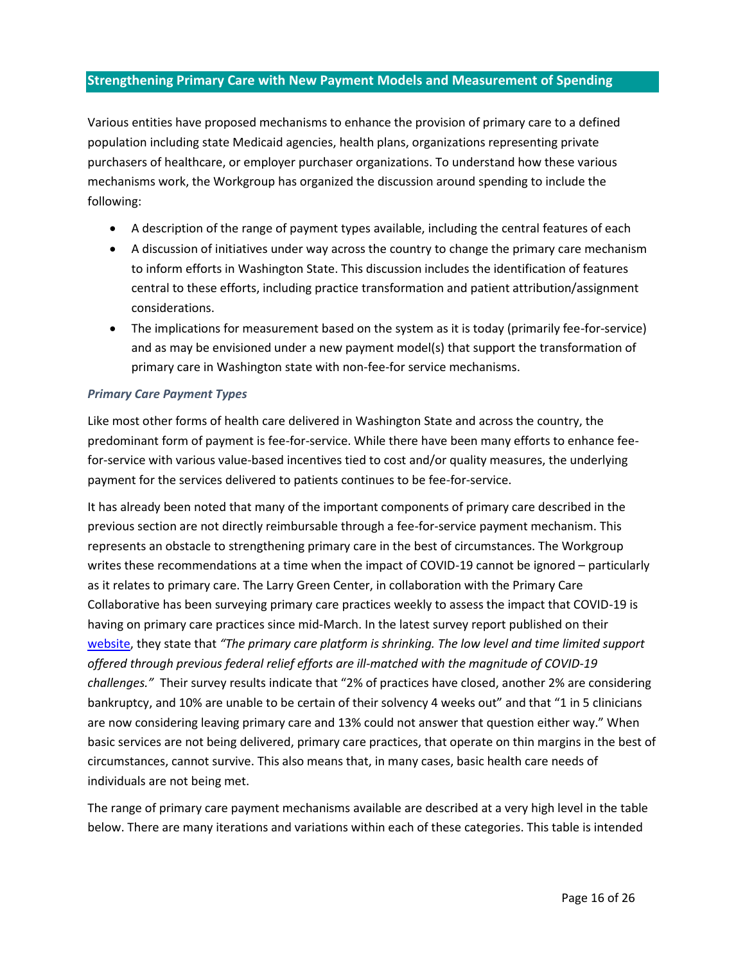# <span id="page-16-0"></span>**Strengthening Primary Care with New Payment Models and Measurement of Spending**

Various entities have proposed mechanisms to enhance the provision of primary care to a defined population including state Medicaid agencies, health plans, organizations representing private purchasers of healthcare, or employer purchaser organizations. To understand how these various mechanisms work, the Workgroup has organized the discussion around spending to include the following:

- A description of the range of payment types available, including the central features of each
- A discussion of initiatives under way across the country to change the primary care mechanism to inform efforts in Washington State. This discussion includes the identification of features central to these efforts, including practice transformation and patient attribution/assignment considerations.
- The implications for measurement based on the system as it is today (primarily fee-for-service) and as may be envisioned under a new payment model(s) that support the transformation of primary care in Washington state with non-fee-for service mechanisms.

#### <span id="page-16-1"></span>*Primary Care Payment Types*

Like most other forms of health care delivered in Washington State and across the country, the predominant form of payment is fee-for-service. While there have been many efforts to enhance feefor-service with various value-based incentives tied to cost and/or quality measures, the underlying payment for the services delivered to patients continues to be fee-for-service.

It has already been noted that many of the important components of primary care described in the previous section are not directly reimbursable through a fee-for-service payment mechanism. This represents an obstacle to strengthening primary care in the best of circumstances. The Workgroup writes these recommendations at a time when the impact of COVID-19 cannot be ignored – particularly as it relates to primary care. The Larry Green Center, in collaboration with the Primary Care Collaborative has been surveying primary care practices weekly to assess the impact that COVID-19 is having on primary care practices since mid-March. In the latest survey report published on their [website,](https://static1.squarespace.com/static/5d7ff8184cf0e01e4566cb02/t/5f47defcceda12236bb2d660/1598545661461/C19+Series+19+National+Executive+Summary.pdf) they state that *"The primary care platform is shrinking. The low level and time limited support offered through previous federal relief efforts are ill-matched with the magnitude of COVID-19 challenges."* Their survey results indicate that "2% of practices have closed, another 2% are considering bankruptcy, and 10% are unable to be certain of their solvency 4 weeks out" and that "1 in 5 clinicians are now considering leaving primary care and 13% could not answer that question either way." When basic services are not being delivered, primary care practices, that operate on thin margins in the best of circumstances, cannot survive. This also means that, in many cases, basic health care needs of individuals are not being met.

The range of primary care payment mechanisms available are described at a very high level in the table below. There are many iterations and variations within each of these categories. This table is intended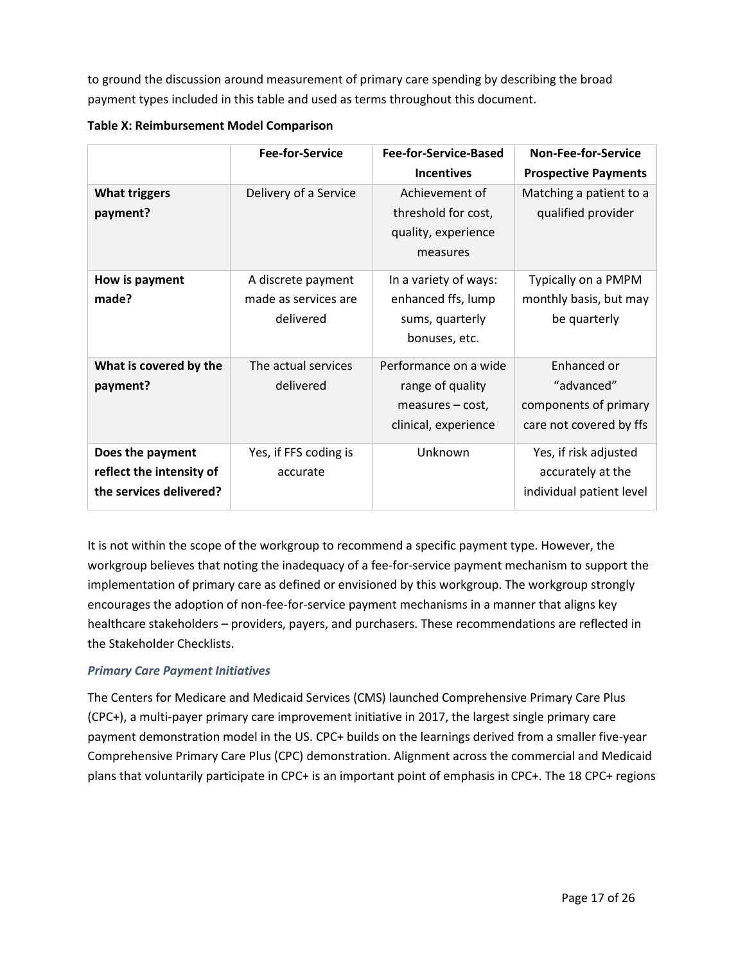to ground the discussion around measurement of primary care spending by describing the broad payment types included in this table and used as terms throughout this document.

|                                                                         | <b>Fee-for-Service</b>                                  | <b>Fee-for-Service-Based</b>                                                            | <b>Non-Fee-for-Service</b>                                                    |
|-------------------------------------------------------------------------|---------------------------------------------------------|-----------------------------------------------------------------------------------------|-------------------------------------------------------------------------------|
|                                                                         |                                                         | <b>Incentives</b>                                                                       | <b>Prospective Payments</b>                                                   |
| <b>What triggers</b><br>payment?                                        | Delivery of a Service                                   | Achievement of<br>threshold for cost,<br>quality, experience<br>measures                | Matching a patient to a<br>qualified provider                                 |
| How is payment<br>made?                                                 | A discrete payment<br>made as services are<br>delivered | In a variety of ways:<br>enhanced ffs, lump<br>sums, quarterly<br>bonuses, etc.         | Typically on a PMPM<br>monthly basis, but may<br>be quarterly                 |
| What is covered by the<br>payment?                                      | The actual services<br>delivered                        | Performance on a wide<br>range of quality<br>$measures - cost,$<br>clinical, experience | Enhanced or<br>"advanced"<br>components of primary<br>care not covered by ffs |
| Does the payment<br>reflect the intensity of<br>the services delivered? | Yes, if FFS coding is<br>accurate                       | Unknown                                                                                 | Yes, if risk adjusted<br>accurately at the<br>individual patient level        |

**Table X: Reimbursement Model Comparison** 

It is not within the scope of the workgroup to recommend a specific payment type. However, the workgroup believes that noting the inadequacy of a fee-for-service payment mechanism to support the implementation of primary care as defined or envisioned by this workgroup. The workgroup strongly encourages the adoption of non-fee-for-service payment mechanisms in a manner that aligns key healthcare stakeholders – providers, payers, and purchasers. These recommendations are reflected in the Stakeholder Checklists.

# <span id="page-17-0"></span>*Primary Care Payment Initiatives*

The Centers for Medicare and Medicaid Services (CMS) launched Comprehensive Primary Care Plus (CPC+), a multi-payer primary care improvement initiative in 2017, the largest single primary care payment demonstration model in the US. CPC+ builds on the learnings derived from a smaller five-year Comprehensive Primary Care Plus (CPC) demonstration. Alignment across the commercial and Medicaid plans that voluntarily participate in CPC+ is an important point of emphasis in CPC+. The 18 CPC+ regions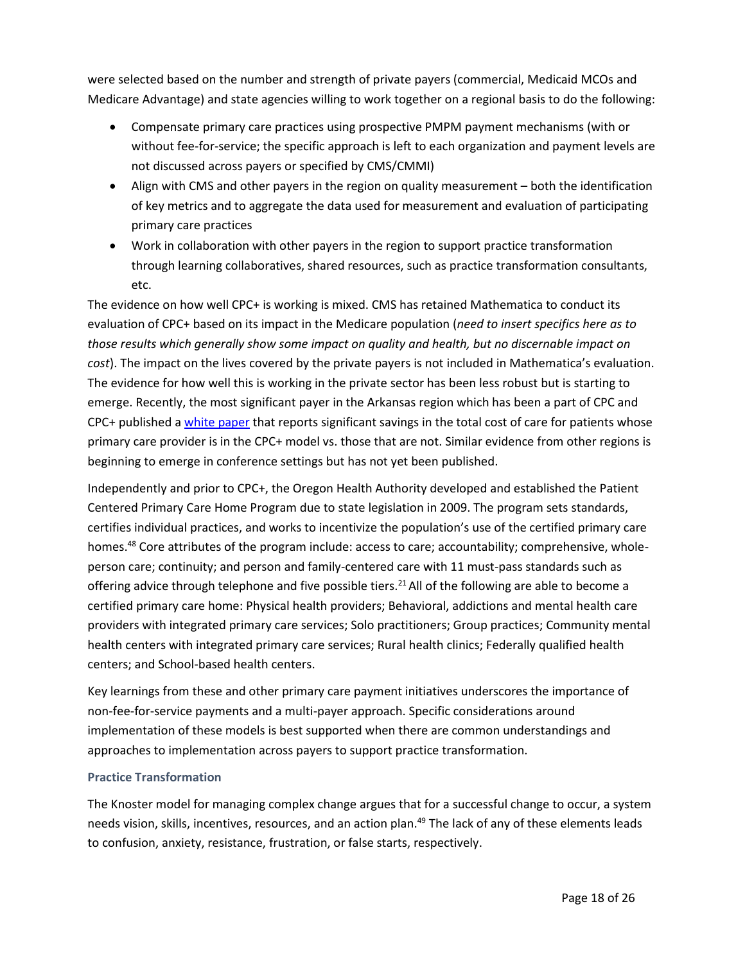were selected based on the number and strength of private payers (commercial, Medicaid MCOs and Medicare Advantage) and state agencies willing to work together on a regional basis to do the following:

- Compensate primary care practices using prospective PMPM payment mechanisms (with or without fee-for-service; the specific approach is left to each organization and payment levels are not discussed across payers or specified by CMS/CMMI)
- Align with CMS and other payers in the region on quality measurement both the identification of key metrics and to aggregate the data used for measurement and evaluation of participating primary care practices
- Work in collaboration with other payers in the region to support practice transformation through learning collaboratives, shared resources, such as practice transformation consultants, etc.

The evidence on how well CPC+ is working is mixed. CMS has retained Mathematica to conduct its evaluation of CPC+ based on its impact in the Medicare population (*need to insert specifics here as to those results which generally show some impact on quality and health, but no discernable impact on cost*). The impact on the lives covered by the private payers is not included in Mathematica's evaluation. The evidence for how well this is working in the private sector has been less robust but is starting to emerge. Recently, the most significant payer in the Arkansas region which has been a part of CPC and CPC+ published [a white paper](https://www.milbank.org/publications/value-based-primary-care-insights-from-a-commercial-insurer-in-arkansas/) that reports significant savings in the total cost of care for patients whose primary care provider is in the CPC+ model vs. those that are not. Similar evidence from other regions is beginning to emerge in conference settings but has not yet been published.

Independently and prior to CPC+, the Oregon Health Authority developed and established the Patient Centered Primary Care Home Program due to state legislation in 2009. The program sets standards, certifies individual practices, and works to incentivize the population's use of the certified primary care homes.<sup>48</sup> Core attributes of the program include: access to care; accountability; comprehensive, wholeperson care; continuity; and person and family-centered care with 11 must-pass standards such as offering advice through telephone and five possible tiers.<sup>21</sup> All of the following are able to become a certified primary care home: Physical health providers; Behavioral, addictions and mental health care providers with integrated primary care services; Solo practitioners; Group practices; Community mental health centers with integrated primary care services; Rural health clinics; Federally qualified health centers; and School-based health centers.

Key learnings from these and other primary care payment initiatives underscores the importance of non-fee-for-service payments and a multi-payer approach. Specific considerations around implementation of these models is best supported when there are common understandings and approaches to implementation across payers to support practice transformation.

## <span id="page-18-0"></span>**Practice Transformation**

The Knoster model for managing complex change argues that for a successful change to occur, a system needs vision, skills, incentives, resources, and an action plan.<sup>49</sup> The lack of any of these elements leads to confusion, anxiety, resistance, frustration, or false starts, respectively.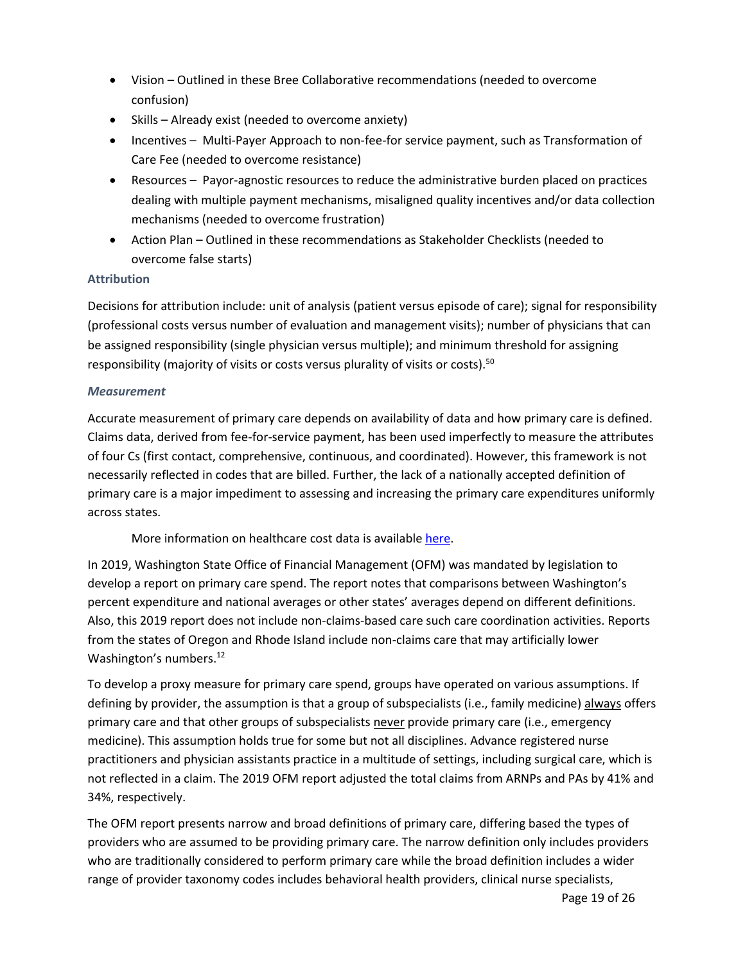- Vision Outlined in these Bree Collaborative recommendations (needed to overcome confusion)
- Skills Already exist (needed to overcome anxiety)
- Incentives Multi-Payer Approach to non-fee-for service payment, such as Transformation of Care Fee (needed to overcome resistance)
- Resources Payor-agnostic resources to reduce the administrative burden placed on practices dealing with multiple payment mechanisms, misaligned quality incentives and/or data collection mechanisms (needed to overcome frustration)
- Action Plan Outlined in these recommendations as Stakeholder Checklists (needed to overcome false starts)

# <span id="page-19-0"></span>**Attribution**

Decisions for attribution include: unit of analysis (patient versus episode of care); signal for responsibility (professional costs versus number of evaluation and management visits); number of physicians that can be assigned responsibility (single physician versus multiple); and minimum threshold for assigning responsibility (majority of visits or costs versus plurality of visits or costs).<sup>50</sup>

# <span id="page-19-1"></span>*Measurement*

Accurate measurement of primary care depends on availability of data and how primary care is defined. Claims data, derived from fee-for-service payment, has been used imperfectly to measure the attributes of four Cs (first contact, comprehensive, continuous, and coordinated). However, this framework is not necessarily reflected in codes that are billed. Further, the lack of a nationally accepted definition of primary care is a major impediment to assessing and increasing the primary care expenditures uniformly across states.

More information on healthcare cost data is availabl[e here.](https://www.cdc.gov/workplacehealthpromotion/model/healthcare-cost-data/interpreting.html)

In 2019, Washington State Office of Financial Management (OFM) was mandated by legislation to develop a report on primary care spend. The report notes that comparisons between Washington's percent expenditure and national averages or other states' averages depend on different definitions. Also, this 2019 report does not include non-claims-based care such care coordination activities. Reports from the states of Oregon and Rhode Island include non-claims care that may artificially lower Washington's numbers.<sup>[12](#page-3-2)</sup>

To develop a proxy measure for primary care spend, groups have operated on various assumptions. If defining by provider, the assumption is that a group of subspecialists (i.e., family medicine) always offers primary care and that other groups of subspecialists never provide primary care (i.e., emergency medicine). This assumption holds true for some but not all disciplines. Advance registered nurse practitioners and physician assistants practice in a multitude of settings, including surgical care, which is not reflected in a claim. The 2019 OFM report adjusted the total claims from ARNPs and PAs by 41% and 34%, respectively.

The OFM report presents narrow and broad definitions of primary care, differing based the types of providers who are assumed to be providing primary care. The narrow definition only includes providers who are traditionally considered to perform primary care while the broad definition includes a wider range of provider taxonomy codes includes behavioral health providers, clinical nurse specialists,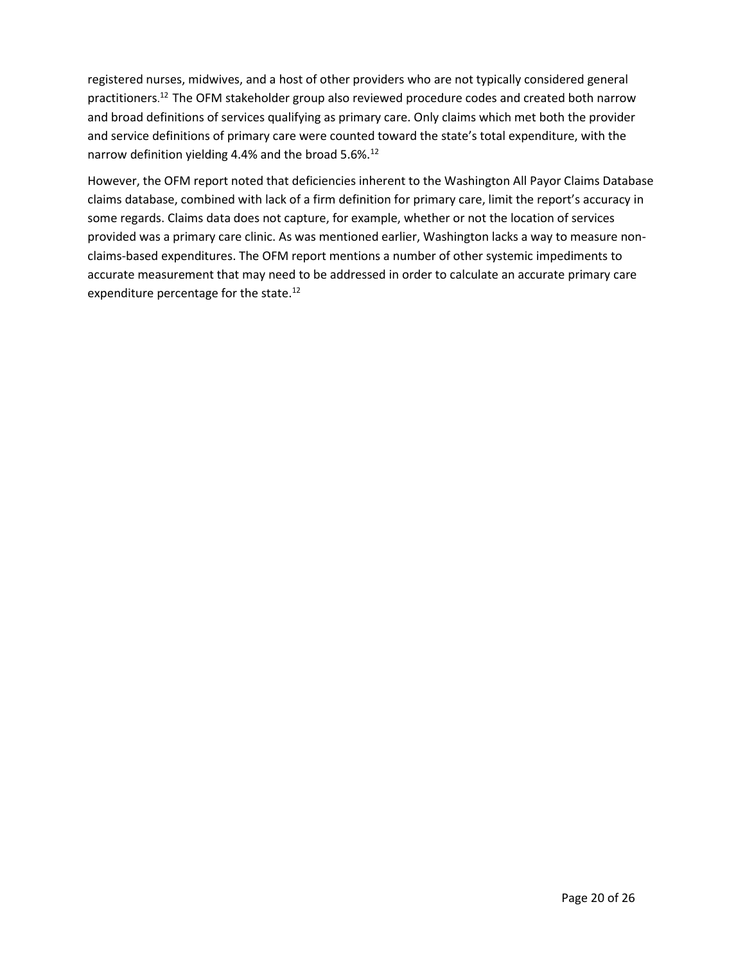registered nurses, midwives, and a host of other providers who are not typically considered general practitioners. [12](#page-3-2) The OFM stakeholder group also reviewed procedure codes and created both narrow and broad definitions of services qualifying as primary care. Only claims which met both the provider and service definitions of primary care were counted toward the state's total expenditure, with the narrow definition yielding 4.4% and the broad 5.6%.<sup>[12](#page-3-2)</sup>

However, the OFM report noted that deficiencies inherent to the Washington All Payor Claims Database claims database, combined with lack of a firm definition for primary care, limit the report's accuracy in some regards. Claims data does not capture, for example, whether or not the location of services provided was a primary care clinic. As was mentioned earlier, Washington lacks a way to measure nonclaims-based expenditures. The OFM report mentions a number of other systemic impediments to accurate measurement that may need to be addressed in order to calculate an accurate primary care expenditure percentage for the state.<sup>[12](#page-3-2)</sup>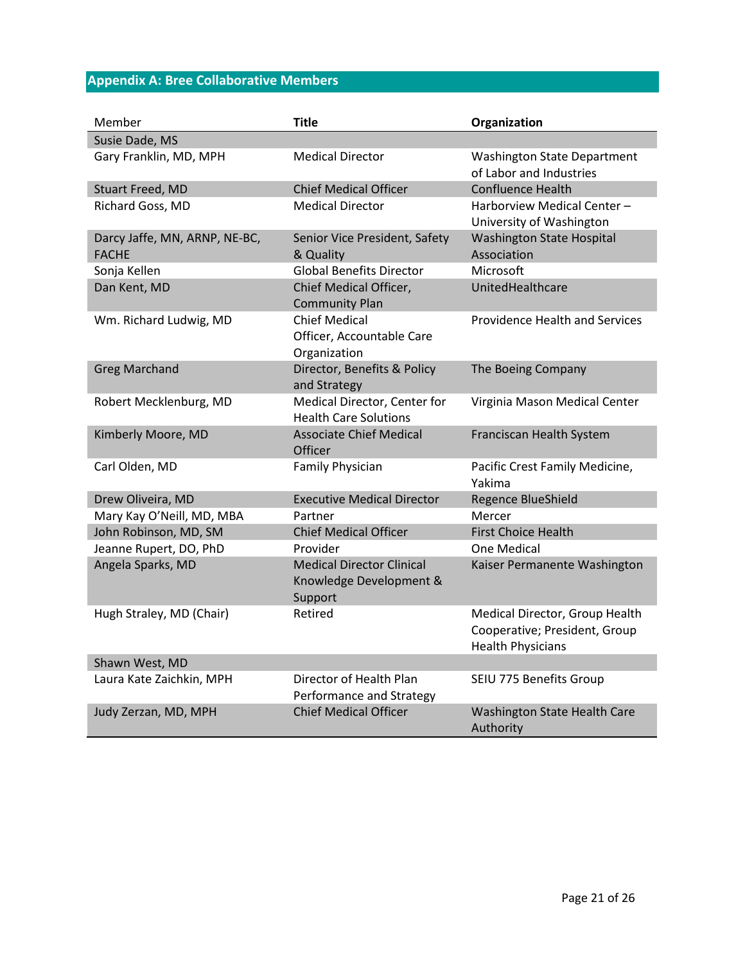# <span id="page-21-0"></span>**Appendix A: Bree Collaborative Members**

| Member                                        | <b>Title</b>                                                           | Organization                                                                                |
|-----------------------------------------------|------------------------------------------------------------------------|---------------------------------------------------------------------------------------------|
| Susie Dade, MS                                |                                                                        |                                                                                             |
| Gary Franklin, MD, MPH                        | <b>Medical Director</b>                                                | <b>Washington State Department</b><br>of Labor and Industries                               |
| <b>Stuart Freed, MD</b>                       | <b>Chief Medical Officer</b>                                           | <b>Confluence Health</b>                                                                    |
| Richard Goss, MD                              | <b>Medical Director</b>                                                | Harborview Medical Center-<br>University of Washington                                      |
| Darcy Jaffe, MN, ARNP, NE-BC,<br><b>FACHE</b> | Senior Vice President, Safety<br>& Quality                             | <b>Washington State Hospital</b><br>Association                                             |
| Sonja Kellen                                  | <b>Global Benefits Director</b>                                        | Microsoft                                                                                   |
| Dan Kent, MD                                  | Chief Medical Officer,<br><b>Community Plan</b>                        | UnitedHealthcare                                                                            |
| Wm. Richard Ludwig, MD                        | <b>Chief Medical</b><br>Officer, Accountable Care<br>Organization      | <b>Providence Health and Services</b>                                                       |
| <b>Greg Marchand</b>                          | Director, Benefits & Policy<br>and Strategy                            | The Boeing Company                                                                          |
| Robert Mecklenburg, MD                        | Medical Director, Center for<br><b>Health Care Solutions</b>           | Virginia Mason Medical Center                                                               |
| Kimberly Moore, MD                            | <b>Associate Chief Medical</b><br>Officer                              | Franciscan Health System                                                                    |
| Carl Olden, MD                                | <b>Family Physician</b>                                                | Pacific Crest Family Medicine,<br>Yakima                                                    |
| Drew Oliveira, MD                             | <b>Executive Medical Director</b>                                      | Regence BlueShield                                                                          |
| Mary Kay O'Neill, MD, MBA                     | Partner                                                                | Mercer                                                                                      |
| John Robinson, MD, SM                         | <b>Chief Medical Officer</b>                                           | <b>First Choice Health</b>                                                                  |
| Jeanne Rupert, DO, PhD                        | Provider                                                               | One Medical                                                                                 |
| Angela Sparks, MD                             | <b>Medical Director Clinical</b><br>Knowledge Development &<br>Support | Kaiser Permanente Washington                                                                |
| Hugh Straley, MD (Chair)                      | Retired                                                                | Medical Director, Group Health<br>Cooperative; President, Group<br><b>Health Physicians</b> |
| Shawn West, MD                                |                                                                        |                                                                                             |
| Laura Kate Zaichkin, MPH                      | Director of Health Plan<br>Performance and Strategy                    | SEIU 775 Benefits Group                                                                     |
| Judy Zerzan, MD, MPH                          | <b>Chief Medical Officer</b>                                           | Washington State Health Care<br>Authority                                                   |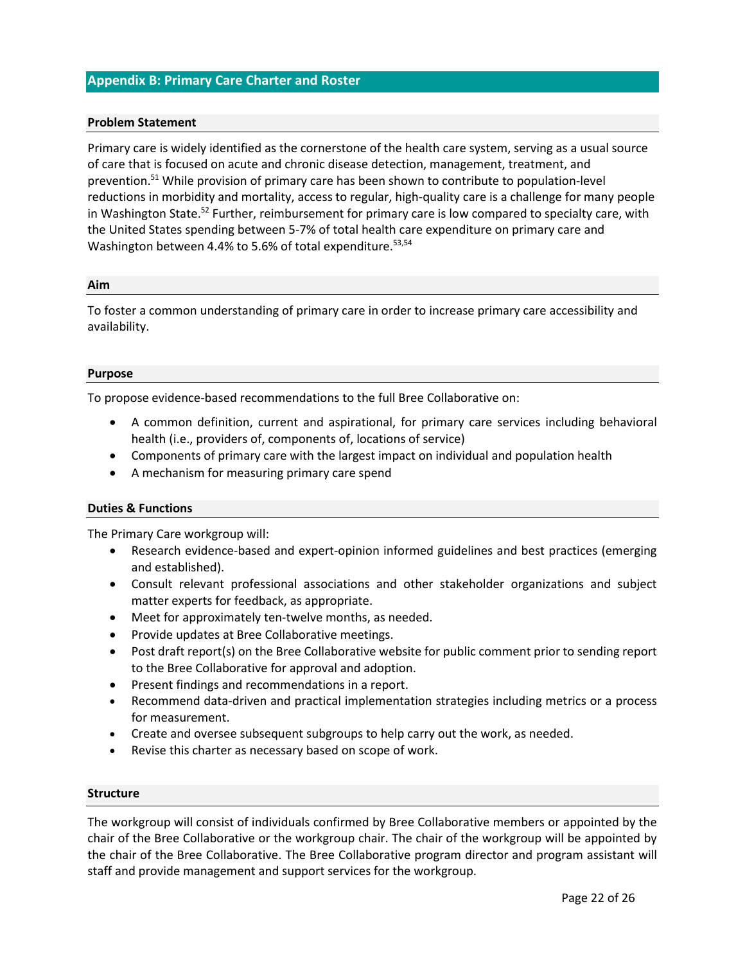## <span id="page-22-0"></span>**Appendix B: Primary Care Charter and Roster**

#### **Problem Statement**

Primary care is widely identified as the cornerstone of the health care system, serving as a usual source of care that is focused on acute and chronic disease detection, management, treatment, and prevention. <sup>51</sup> While provision of primary care has been shown to contribute to population-level reductions in morbidity and mortality, access to regular, high-quality care is a challenge for many people in Washington State.<sup>52</sup> Further, reimbursement for primary care is low compared to specialty care, with the United States spending between 5-7% of total health care expenditure on primary care and Washington between 4.4% to 5.6% of total expenditure.<sup>53,54</sup>

#### **Aim**

To foster a common understanding of primary care in order to increase primary care accessibility and availability.

#### **Purpose**

To propose evidence-based recommendations to the full Bree Collaborative on:

- A common definition, current and aspirational, for primary care services including behavioral health (i.e., providers of, components of, locations of service)
- Components of primary care with the largest impact on individual and population health
- A mechanism for measuring primary care spend

#### **Duties & Functions**

The Primary Care workgroup will:

- Research evidence-based and expert-opinion informed guidelines and best practices (emerging and established).
- Consult relevant professional associations and other stakeholder organizations and subject matter experts for feedback, as appropriate.
- Meet for approximately ten-twelve months, as needed.
- Provide updates at Bree Collaborative meetings.
- Post draft report(s) on the Bree Collaborative website for public comment prior to sending report to the Bree Collaborative for approval and adoption.
- Present findings and recommendations in a report.
- Recommend data-driven and practical implementation strategies including metrics or a process for measurement.
- Create and oversee subsequent subgroups to help carry out the work, as needed.
- Revise this charter as necessary based on scope of work.

#### **Structure**

The workgroup will consist of individuals confirmed by Bree Collaborative members or appointed by the chair of the Bree Collaborative or the workgroup chair. The chair of the workgroup will be appointed by the chair of the Bree Collaborative. The Bree Collaborative program director and program assistant will staff and provide management and support services for the workgroup.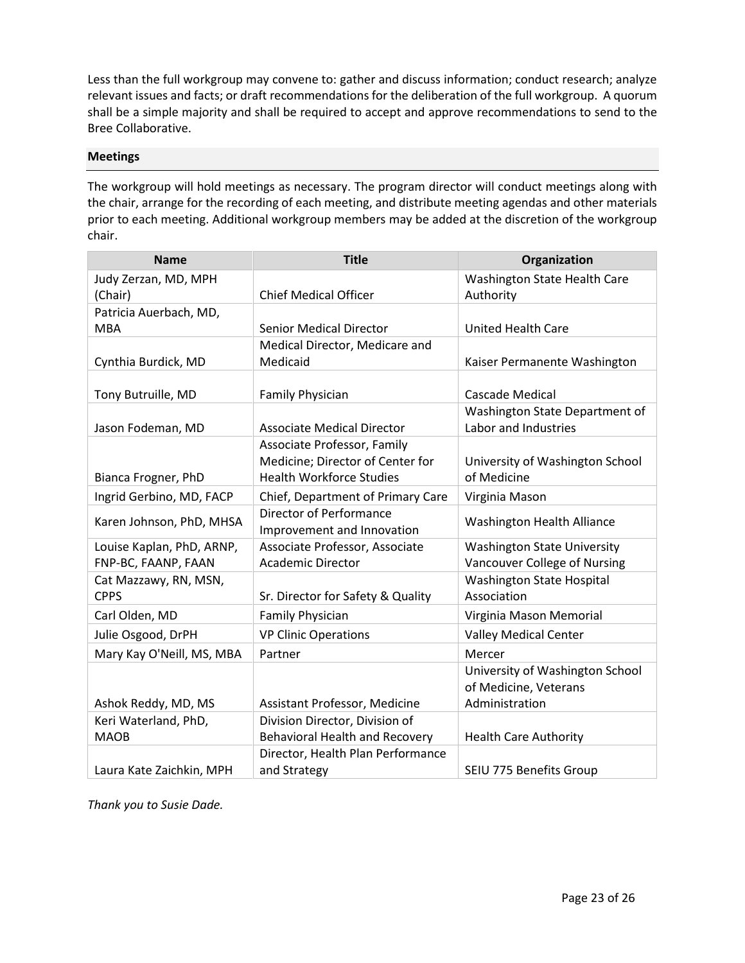Less than the full workgroup may convene to: gather and discuss information; conduct research; analyze relevant issues and facts; or draft recommendations for the deliberation of the full workgroup. A quorum shall be a simple majority and shall be required to accept and approve recommendations to send to the Bree Collaborative.

#### **Meetings**

The workgroup will hold meetings as necessary. The program director will conduct meetings along with the chair, arrange for the recording of each meeting, and distribute meeting agendas and other materials prior to each meeting. Additional workgroup members may be added at the discretion of the workgroup chair.

| <b>Name</b>               | <b>Title</b>                      | Organization                       |  |
|---------------------------|-----------------------------------|------------------------------------|--|
| Judy Zerzan, MD, MPH      |                                   | Washington State Health Care       |  |
| (Chair)                   | <b>Chief Medical Officer</b>      | Authority                          |  |
| Patricia Auerbach, MD,    |                                   |                                    |  |
| <b>MBA</b>                | <b>Senior Medical Director</b>    | <b>United Health Care</b>          |  |
|                           | Medical Director, Medicare and    |                                    |  |
| Cynthia Burdick, MD       | Medicaid                          | Kaiser Permanente Washington       |  |
|                           |                                   |                                    |  |
| Tony Butruille, MD        | <b>Family Physician</b>           | <b>Cascade Medical</b>             |  |
|                           |                                   | Washington State Department of     |  |
| Jason Fodeman, MD         | <b>Associate Medical Director</b> | Labor and Industries               |  |
|                           | Associate Professor, Family       |                                    |  |
|                           | Medicine; Director of Center for  | University of Washington School    |  |
| Bianca Frogner, PhD       | <b>Health Workforce Studies</b>   | of Medicine                        |  |
| Ingrid Gerbino, MD, FACP  | Chief, Department of Primary Care | Virginia Mason                     |  |
| Karen Johnson, PhD, MHSA  | <b>Director of Performance</b>    | <b>Washington Health Alliance</b>  |  |
|                           | Improvement and Innovation        |                                    |  |
| Louise Kaplan, PhD, ARNP, | Associate Professor, Associate    | <b>Washington State University</b> |  |
| FNP-BC, FAANP, FAAN       | <b>Academic Director</b>          | Vancouver College of Nursing       |  |
| Cat Mazzawy, RN, MSN,     |                                   | <b>Washington State Hospital</b>   |  |
| <b>CPPS</b>               | Sr. Director for Safety & Quality | Association                        |  |
| Carl Olden, MD            | <b>Family Physician</b>           | Virginia Mason Memorial            |  |
| Julie Osgood, DrPH        | <b>VP Clinic Operations</b>       | <b>Valley Medical Center</b>       |  |
| Mary Kay O'Neill, MS, MBA | Partner                           | Mercer                             |  |
|                           |                                   | University of Washington School    |  |
|                           |                                   | of Medicine, Veterans              |  |
| Ashok Reddy, MD, MS       | Assistant Professor, Medicine     | Administration                     |  |
| Keri Waterland, PhD,      | Division Director, Division of    |                                    |  |
| <b>MAOB</b>               | Behavioral Health and Recovery    | <b>Health Care Authority</b>       |  |
|                           | Director, Health Plan Performance |                                    |  |
| Laura Kate Zaichkin, MPH  | and Strategy                      | SEIU 775 Benefits Group            |  |

*Thank you to Susie Dade.*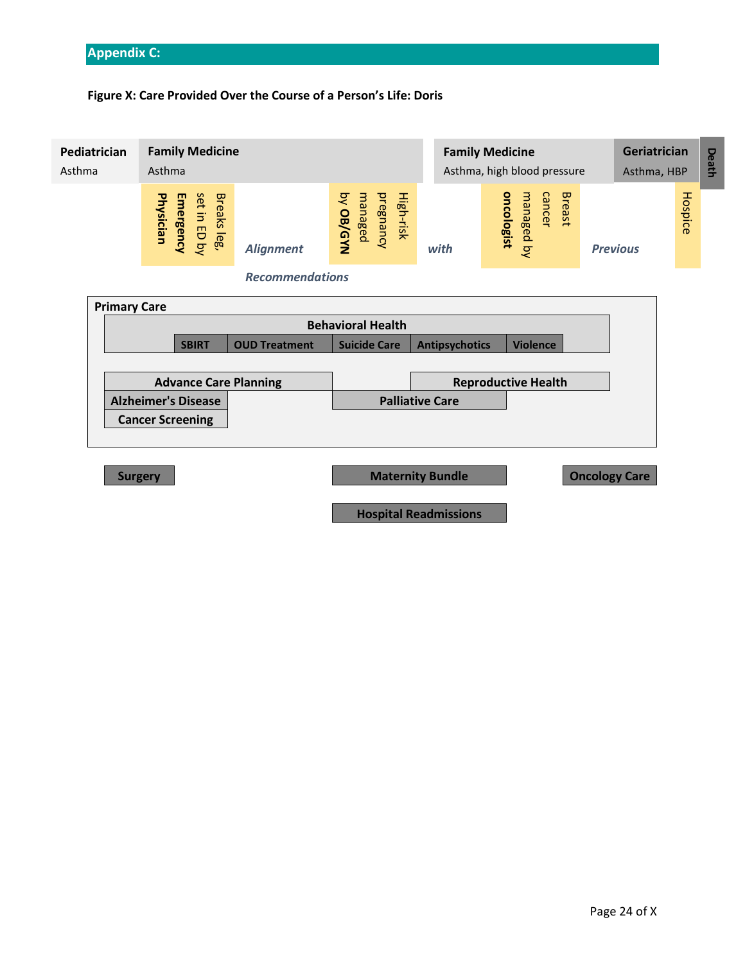# <span id="page-24-0"></span>**Appendix C:**

# **Figure X: Care Provided Over the Course of a Person's Life: Doris**

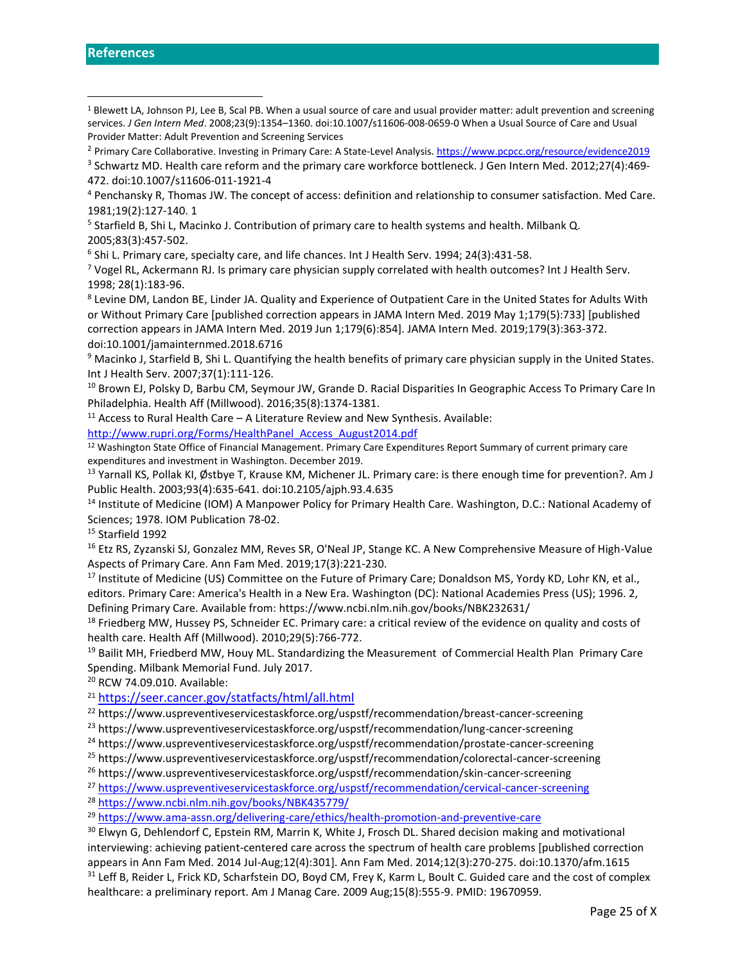<sup>4</sup> Penchansky R, Thomas JW. The concept of access: definition and relationship to consumer satisfaction. Med Care. 1981;19(2):127‐140. 1

<sup>5</sup> Starfield B, Shi L, Macinko J. Contribution of primary care to health systems and health. Milbank Q.

2005;83(3):457‐502.

6 Shi L. Primary care, specialty care, and life chances. Int J Health Serv. 1994; 24(3):431-58.

 $7$  Vogel RL, Ackermann RJ. Is primary care physician supply correlated with health outcomes? Int J Health Serv. 1998; 28(1):183-96.

<sup>8</sup> Levine DM, Landon BE, Linder JA. Quality and Experience of Outpatient Care in the United States for Adults With or Without Primary Care [published correction appears in JAMA Intern Med. 2019 May 1;179(5):733] [published correction appears in JAMA Intern Med. 2019 Jun 1;179(6):854]. JAMA Intern Med. 2019;179(3):363‐372. doi:10.1001/jamainternmed.2018.6716

<sup>9</sup> Macinko J, Starfield B, Shi L. Quantifying the health benefits of primary care physician supply in the United States. Int J Health Serv. 2007;37(1):111‐126.

<sup>10</sup> Brown EJ, Polsky D, Barbu CM, Seymour JW, Grande D. Racial Disparities In Geographic Access To Primary Care In Philadelphia. Health Aff (Millwood). 2016;35(8):1374‐1381.

 $11$  Access to Rural Health Care – A Literature Review and New Synthesis. Available:

[http://www.rupri.org/Forms/HealthPanel\\_Access\\_August2014.pdf](http://www.rupri.org/Forms/HealthPanel_Access_August2014.pdf)

<sup>12</sup> Washington State Office of Financial Management. Primary Care Expenditures Report Summary of current primary care expenditures and investment in Washington. December 2019.

13 Yarnall KS, Pollak KI, Østbye T, Krause KM, Michener JL. Primary care: is there enough time for prevention?. Am J Public Health. 2003;93(4):635-641. doi:10.2105/ajph.93.4.635

<sup>14</sup> Institute of Medicine (IOM) A Manpower Policy for Primary Health Care. Washington, D.C.: National Academy of Sciences; 1978. IOM Publication 78-02.

<sup>15</sup> Starfield 1992

<sup>16</sup> Etz RS, Zyzanski SJ, Gonzalez MM, Reves SR, O'Neal JP, Stange KC. A New Comprehensive Measure of High-Value Aspects of Primary Care. Ann Fam Med. 2019;17(3):221‐230.

<sup>17</sup> Institute of Medicine (US) Committee on the Future of Primary Care; Donaldson MS, Yordy KD, Lohr KN, et al., editors. Primary Care: America's Health in a New Era. Washington (DC): National Academies Press (US); 1996. 2, Defining Primary Care. Available from: https://www.ncbi.nlm.nih.gov/books/NBK232631/

<sup>18</sup> Friedberg MW, Hussey PS, Schneider EC. Primary care: a critical review of the evidence on quality and costs of health care. Health Aff (Millwood). 2010;29(5):766‐772.

<sup>19</sup> Bailit MH, Friedberd MW, Houy ML. Standardizing the Measurement of Commercial Health Plan Primary Care Spending. Milbank Memorial Fund. July 2017.

<sup>20</sup> RCW 74.09.010. Available:

<sup>21</sup> <https://seer.cancer.gov/statfacts/html/all.html>

<sup>22</sup> https://www.uspreventiveservicestaskforce.org/uspstf/recommendation/breast-cancer-screening

<sup>23</sup> https://www.uspreventiveservicestaskforce.org/uspstf/recommendation/lung-cancer-screening

<sup>24</sup> https://www.uspreventiveservicestaskforce.org/uspstf/recommendation/prostate-cancer-screening

<sup>25</sup> https://www.uspreventiveservicestaskforce.org/uspstf/recommendation/colorectal-cancer-screening

<sup>26</sup> https://www.uspreventiveservicestaskforce.org/uspstf/recommendation/skin-cancer-screening

<sup>27</sup> <https://www.uspreventiveservicestaskforce.org/uspstf/recommendation/cervical-cancer-screening>

<sup>28</sup> <https://www.ncbi.nlm.nih.gov/books/NBK435779/>

<sup>29</sup> <https://www.ama-assn.org/delivering-care/ethics/health-promotion-and-preventive-care>

<sup>30</sup> Elwyn G, Dehlendorf C, Epstein RM, Marrin K, White J, Frosch DL. Shared decision making and motivational interviewing: achieving patient-centered care across the spectrum of health care problems [published correction appears in Ann Fam Med. 2014 Jul-Aug;12(4):301]. Ann Fam Med. 2014;12(3):270-275. doi:10.1370/afm.1615 <sup>31</sup> Leff B, Reider L, Frick KD, Scharfstein DO, Boyd CM, Frey K, Karm L, Boult C. Guided care and the cost of complex healthcare: a preliminary report. Am J Manag Care. 2009 Aug;15(8):555-9. PMID: 19670959.

<span id="page-25-0"></span><sup>&</sup>lt;sup>1</sup> Blewett LA, Johnson PJ, Lee B, Scal PB. When a usual source of care and usual provider matter: adult prevention and screening services. *J Gen Intern Med*. 2008;23(9):1354–1360. doi:10.1007/s11606-008-0659-0 When a Usual Source of Care and Usual Provider Matter: Adult Prevention and Screening Services

<sup>2</sup> Primary Care Collaborative. Investing in Primary Care: A State-Level Analysis.<https://www.pcpcc.org/resource/evidence2019>

<sup>&</sup>lt;sup>3</sup> Schwartz MD. Health care reform and the primary care workforce bottleneck. J Gen Intern Med. 2012;27(4):469-472. doi:10.1007/s11606-011-1921-4